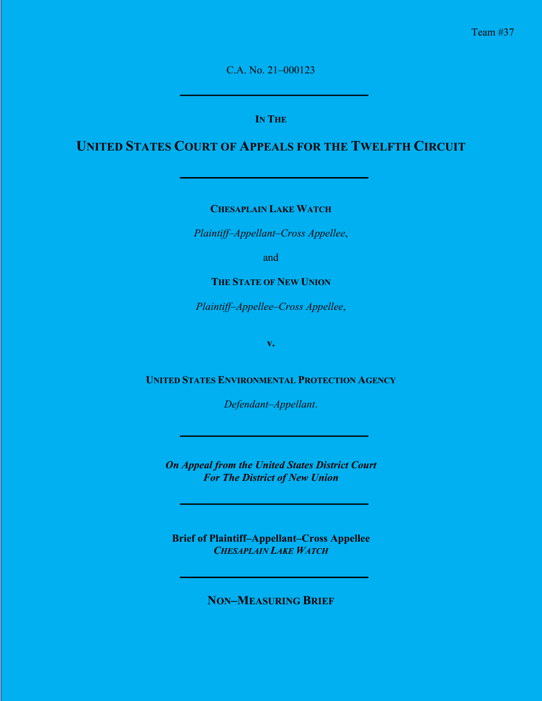C.A. No. 21–000123

### **IN THE**

# **UNITED STATES COURT OF APPEALS FOR THE TWELFTH CIRCUIT**

**CHESAPLAIN LAKE WATCH**

*Plaintiff–Appellant–Cross Appellee*,

and

### **THE STATE OF NEW UNION**

*Plaintiff–Appellee–Cross Appellee*,

**v.**

### **UNITED STATES ENVIRONMENTAL PROTECTION AGENCY**

*Defendant–Appellant*.

*On Appeal from the United States District Court For The District of New Union*

**Brief of Plaintiff–Appellant–Cross Appellee** *CHESAPLAIN LAKE WATCH*

**NON–MEASURING BRIEF**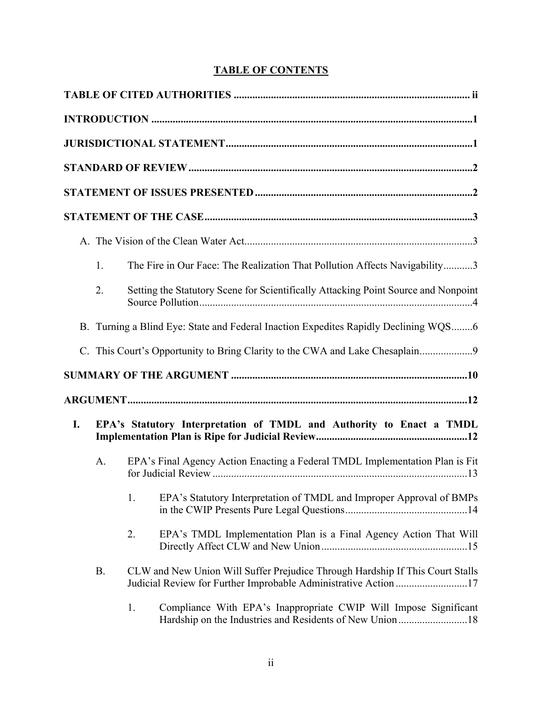## **TABLE OF CONTENTS**

|    | 1.        |    | The Fire in Our Face: The Realization That Pollution Affects Navigability3                                                                       |
|----|-----------|----|--------------------------------------------------------------------------------------------------------------------------------------------------|
|    | 2.        |    | Setting the Statutory Scene for Scientifically Attacking Point Source and Nonpoint                                                               |
|    |           |    | B. Turning a Blind Eye: State and Federal Inaction Expedites Rapidly Declining WQS6                                                              |
|    |           |    | C. This Court's Opportunity to Bring Clarity to the CWA and Lake Chesaplain                                                                      |
|    |           |    |                                                                                                                                                  |
|    |           |    |                                                                                                                                                  |
| I. |           |    | EPA's Statutory Interpretation of TMDL and Authority to Enact a TMDL                                                                             |
|    | A.        |    | EPA's Final Agency Action Enacting a Federal TMDL Implementation Plan is Fit                                                                     |
|    |           | 1. | EPA's Statutory Interpretation of TMDL and Improper Approval of BMPs                                                                             |
|    |           | 2. | EPA's TMDL Implementation Plan is a Final Agency Action That Will                                                                                |
|    | <b>B.</b> |    | CLW and New Union Will Suffer Prejudice Through Hardship If This Court Stalls<br>Judicial Review for Further Improbable Administrative Action 17 |
|    |           | 1. | Compliance With EPA's Inappropriate CWIP Will Impose Significant<br>Hardship on the Industries and Residents of New Union18                      |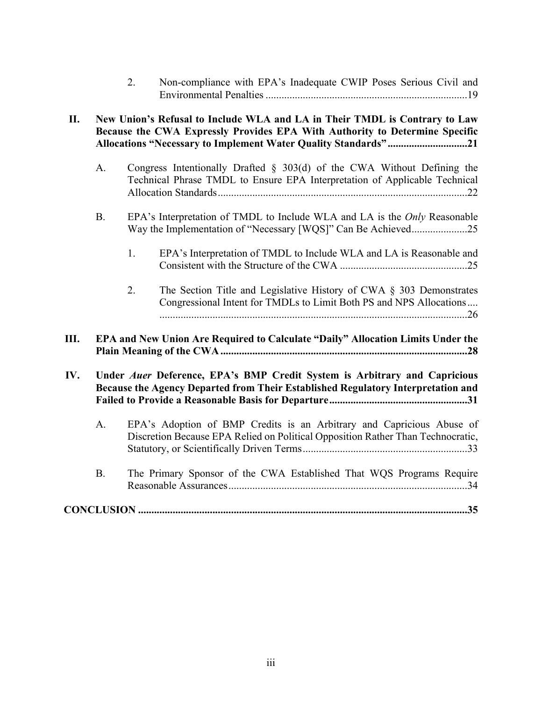| 2. | Non-compliance with EPA's Inadequate CWIP Poses Serious Civil and |
|----|-------------------------------------------------------------------|
|    |                                                                   |

| II. | New Union's Refusal to Include WLA and LA in Their TMDL is Contrary to Law<br>Because the CWA Expressly Provides EPA With Authority to Determine Specific<br>Allocations "Necessary to Implement Water Quality Standards"21 |                                                                                                                                                          |  |  |
|-----|-----------------------------------------------------------------------------------------------------------------------------------------------------------------------------------------------------------------------------|----------------------------------------------------------------------------------------------------------------------------------------------------------|--|--|
|     | A.                                                                                                                                                                                                                          | Congress Intentionally Drafted $\S$ 303(d) of the CWA Without Defining the<br>Technical Phrase TMDL to Ensure EPA Interpretation of Applicable Technical |  |  |
|     | <b>B.</b>                                                                                                                                                                                                                   | EPA's Interpretation of TMDL to Include WLA and LA is the <i>Only</i> Reasonable                                                                         |  |  |
|     |                                                                                                                                                                                                                             | EPA's Interpretation of TMDL to Include WLA and LA is Reasonable and<br>1.                                                                               |  |  |
|     |                                                                                                                                                                                                                             | The Section Title and Legislative History of CWA $\S$ 303 Demonstrates<br>2.<br>Congressional Intent for TMDLs to Limit Both PS and NPS Allocations      |  |  |
| Ш.  |                                                                                                                                                                                                                             | EPA and New Union Are Required to Calculate "Daily" Allocation Limits Under the                                                                          |  |  |
| IV. | Under Auer Deference, EPA's BMP Credit System is Arbitrary and Capricious<br>Because the Agency Departed from Their Established Regulatory Interpretation and                                                               |                                                                                                                                                          |  |  |
|     | A.                                                                                                                                                                                                                          | EPA's Adoption of BMP Credits is an Arbitrary and Capricious Abuse of<br>Discretion Because EPA Relied on Political Opposition Rather Than Technocratic, |  |  |
|     | <b>B.</b>                                                                                                                                                                                                                   | The Primary Sponsor of the CWA Established That WQS Programs Require                                                                                     |  |  |
|     |                                                                                                                                                                                                                             |                                                                                                                                                          |  |  |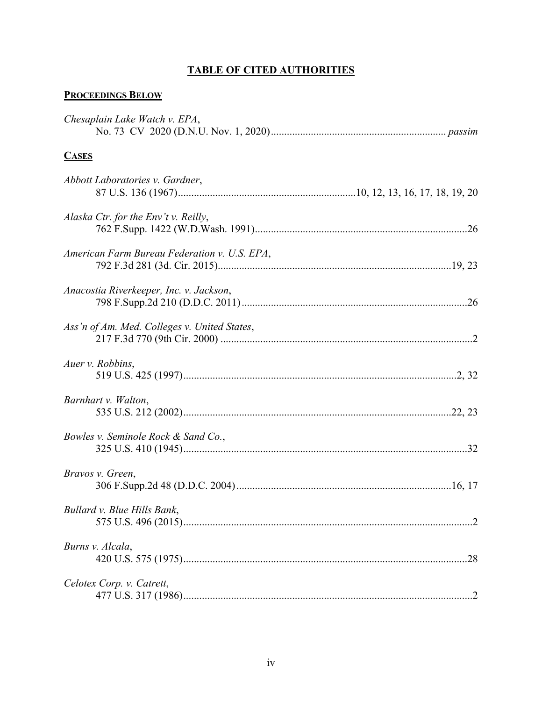## **TABLE OF CITED AUTHORITIES**

## **PROCEEDINGS BELOW**

| Chesaplain Lake Watch v. EPA,                |
|----------------------------------------------|
| <b>CASES</b>                                 |
| Abbott Laboratories v. Gardner,              |
| Alaska Ctr. for the Env't v. Reilly,         |
| American Farm Bureau Federation v. U.S. EPA, |
| Anacostia Riverkeeper, Inc. v. Jackson,      |
| Ass'n of Am. Med. Colleges v. United States, |
| Auer v. Robbins,                             |
| Barnhart v. Walton,                          |
| Bowles v. Seminole Rock & Sand Co.,          |
| Bravos v. Green,                             |
| Bullard v. Blue Hills Bank,                  |
| Burns v. Alcala,                             |
| Celotex Corp. v. Catrett,                    |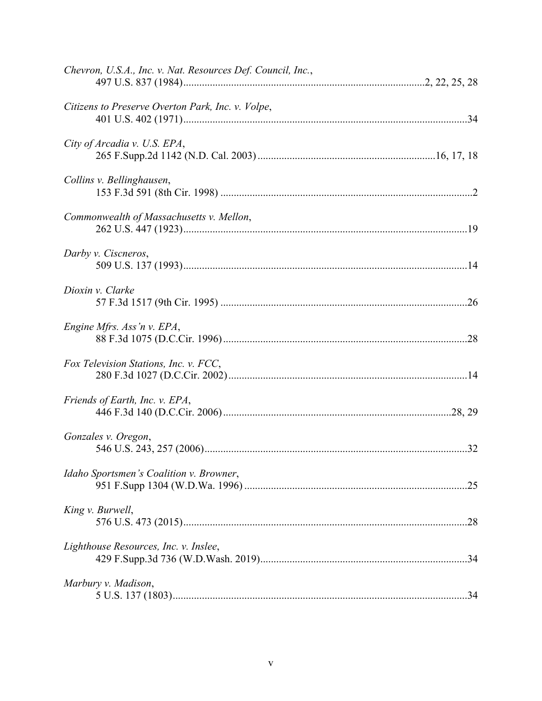| Chevron, U.S.A., Inc. v. Nat. Resources Def. Council, Inc., |
|-------------------------------------------------------------|
| Citizens to Preserve Overton Park, Inc. v. Volpe,           |
| City of Arcadia v. U.S. EPA,                                |
| Collins v. Bellinghausen,                                   |
| Commonwealth of Massachusetts v. Mellon,                    |
| Darby v. Ciscneros,                                         |
| Dioxin v. Clarke                                            |
| Engine Mfrs. Ass'n v. EPA,                                  |
| Fox Television Stations, Inc. v. FCC,                       |
| Friends of Earth, Inc. v. EPA,                              |
| Gonzales v. Oregon,                                         |
| Idaho Sportsmen's Coalition v. Browner,                     |
| King v. Burwell,                                            |
| Lighthouse Resources, Inc. v. Inslee,                       |
| Marbury v. Madison,                                         |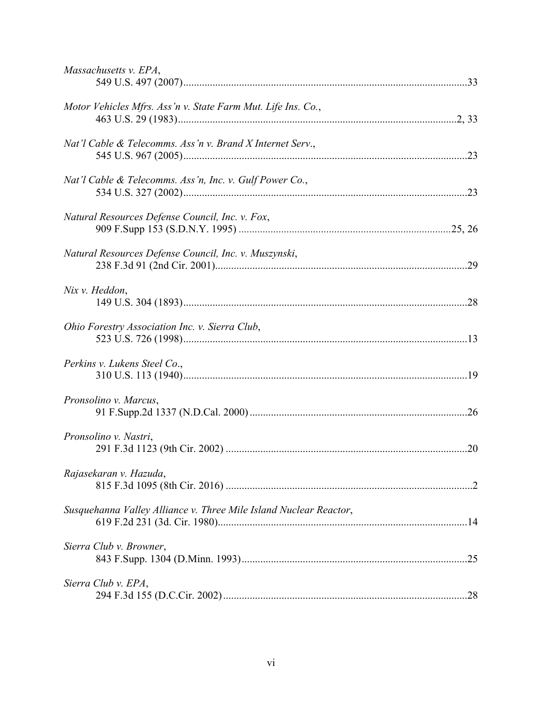| Massachusetts v. EPA,                                             |  |
|-------------------------------------------------------------------|--|
| Motor Vehicles Mfrs. Ass'n v. State Farm Mut. Life Ins. Co.,      |  |
| Nat'l Cable & Telecomms. Ass'n v. Brand X Internet Serv.,         |  |
| Nat'l Cable & Telecomms. Ass'n, Inc. v. Gulf Power Co.,           |  |
| Natural Resources Defense Council, Inc. v. Fox,                   |  |
| Natural Resources Defense Council, Inc. v. Muszynski,             |  |
| Nix v. Heddon,                                                    |  |
| Ohio Forestry Association Inc. v. Sierra Club,                    |  |
| Perkins v. Lukens Steel Co.,                                      |  |
| Pronsolino v. Marcus,                                             |  |
| Pronsolino v. Nastri,                                             |  |
| Rajasekaran v. Hazuda,                                            |  |
| Susquehanna Valley Alliance v. Three Mile Island Nuclear Reactor, |  |
| Sierra Club v. Browner,                                           |  |
| Sierra Club v. EPA,                                               |  |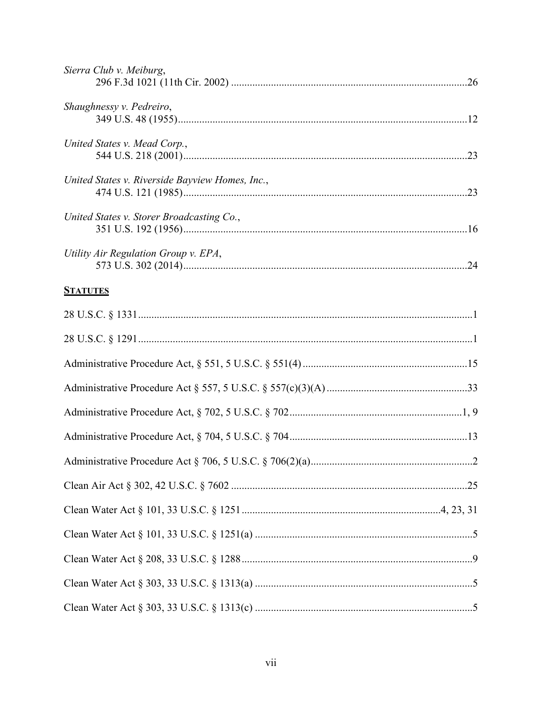| Sierra Club v. Meiburg,                         |  |
|-------------------------------------------------|--|
| Shaughnessy v. Pedreiro,                        |  |
| United States v. Mead Corp.,                    |  |
| United States v. Riverside Bayview Homes, Inc., |  |
| United States v. Storer Broadcasting Co.,       |  |
| Utility Air Regulation Group v. EPA,            |  |
| <b>STATUTES</b>                                 |  |
|                                                 |  |
|                                                 |  |
|                                                 |  |
|                                                 |  |
|                                                 |  |
|                                                 |  |
|                                                 |  |
|                                                 |  |
|                                                 |  |
|                                                 |  |
|                                                 |  |
|                                                 |  |
|                                                 |  |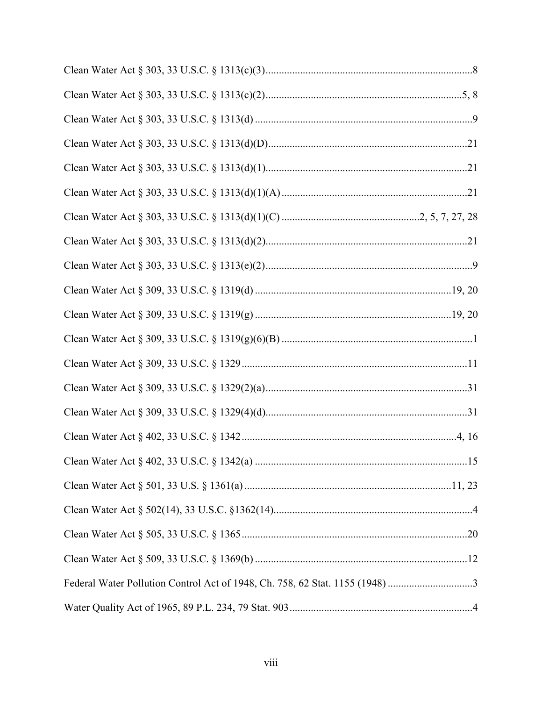| Federal Water Pollution Control Act of 1948, Ch. 758, 62 Stat. 1155 (1948) 3 |  |
|------------------------------------------------------------------------------|--|
|                                                                              |  |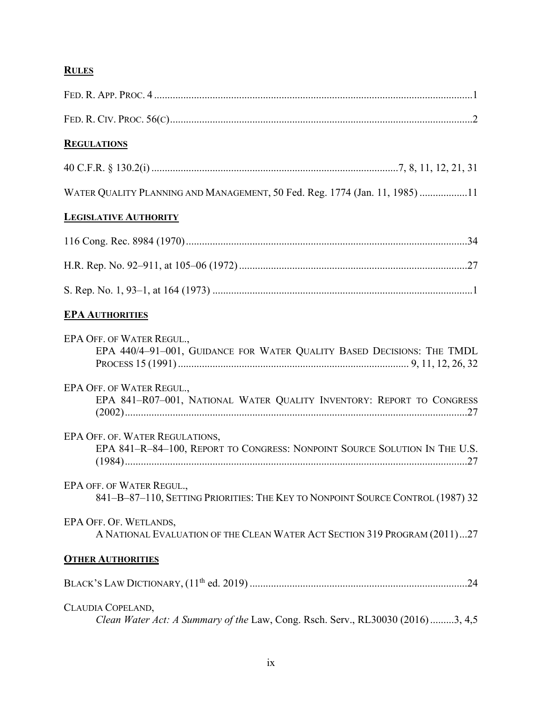# **RULES**

| <b>REGULATIONS</b>                                                                                            |
|---------------------------------------------------------------------------------------------------------------|
|                                                                                                               |
| WATER QUALITY PLANNING AND MANAGEMENT, 50 Fed. Reg. 1774 (Jan. 11, 1985) 11                                   |
| <b>LEGISLATIVE AUTHORITY</b>                                                                                  |
|                                                                                                               |
|                                                                                                               |
|                                                                                                               |
| <b>EPA AUTHORITIES</b>                                                                                        |
| EPA OFF. OF WATER REGUL.,<br>EPA 440/4-91-001, GUIDANCE FOR WATER QUALITY BASED DECISIONS: THE TMDL           |
| EPA OFF. OF WATER REGUL.,<br>EPA 841-R07-001, NATIONAL WATER QUALITY INVENTORY: REPORT TO CONGRESS            |
| EPA OFF. OF. WATER REGULATIONS,<br>EPA 841-R-84-100, REPORT TO CONGRESS: NONPOINT SOURCE SOLUTION IN THE U.S. |
| EPA OFF. OF WATER REGUL.,<br>841-B-87-110, SETTING PRIORITIES: THE KEY TO NONPOINT SOURCE CONTROL (1987) 32   |
| EPA OFF. OF. WETLANDS,<br>A NATIONAL EVALUATION OF THE CLEAN WATER ACT SECTION 319 PROGRAM (2011)27           |
| <b>OTHER AUTHORITIES</b>                                                                                      |
|                                                                                                               |
| CLAUDIA COPELAND,<br>Clean Water Act: A Summary of the Law, Cong. Rsch. Serv., RL30030 (2016) 3, 4,5          |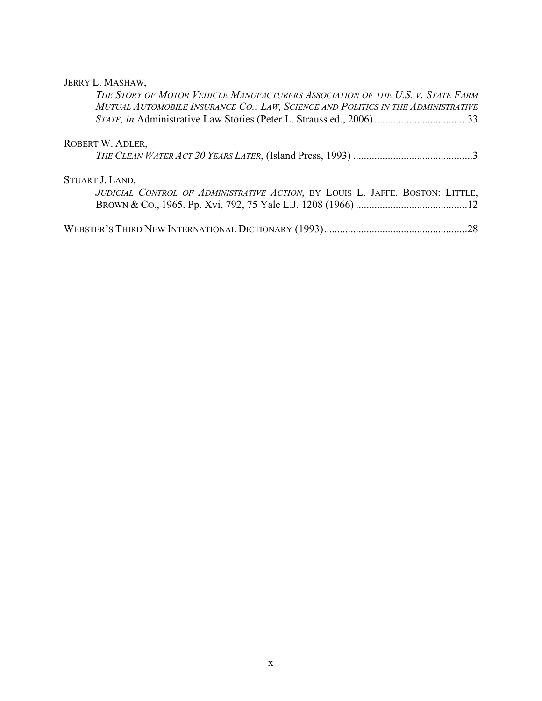## JERRY L. MASHAW,

| THE STORY OF MOTOR VEHICLE MANUFACTURERS ASSOCIATION OF THE U.S. V. STATE FARM<br>MUTUAL AUTOMOBILE INSURANCE CO.: LAW, SCIENCE AND POLITICS IN THE ADMINISTRATIVE<br>STATE, in Administrative Law Stories (Peter L. Strauss ed., 2006) 33 |  |
|--------------------------------------------------------------------------------------------------------------------------------------------------------------------------------------------------------------------------------------------|--|
| ROBERT W. ADLER,                                                                                                                                                                                                                           |  |
|                                                                                                                                                                                                                                            |  |
| STUART J. LAND,                                                                                                                                                                                                                            |  |
| JUDICIAL CONTROL OF ADMINISTRATIVE ACTION, BY LOUIS L. JAFFE. BOSTON: LITTLE,                                                                                                                                                              |  |
|                                                                                                                                                                                                                                            |  |
|                                                                                                                                                                                                                                            |  |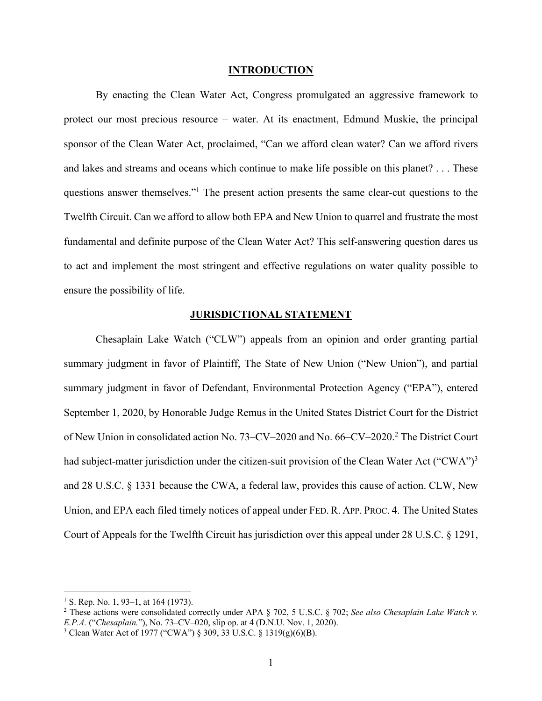#### **INTRODUCTION**

By enacting the Clean Water Act, Congress promulgated an aggressive framework to protect our most precious resource – water. At its enactment, Edmund Muskie, the principal sponsor of the Clean Water Act, proclaimed, "Can we afford clean water? Can we afford rivers and lakes and streams and oceans which continue to make life possible on this planet? . . . These questions answer themselves."1 The present action presents the same clear-cut questions to the Twelfth Circuit. Can we afford to allow both EPA and New Union to quarrel and frustrate the most fundamental and definite purpose of the Clean Water Act? This self-answering question dares us to act and implement the most stringent and effective regulations on water quality possible to ensure the possibility of life.

#### **JURISDICTIONAL STATEMENT**

Chesaplain Lake Watch ("CLW") appeals from an opinion and order granting partial summary judgment in favor of Plaintiff, The State of New Union ("New Union"), and partial summary judgment in favor of Defendant, Environmental Protection Agency ("EPA"), entered September 1, 2020, by Honorable Judge Remus in the United States District Court for the District of New Union in consolidated action No. 73–CV–2020 and No. 66–CV–2020.2 The District Court had subject-matter jurisdiction under the citizen-suit provision of the Clean Water Act ("CWA")<sup>3</sup> and 28 U.S.C. § 1331 because the CWA, a federal law, provides this cause of action. CLW, New Union, and EPA each filed timely notices of appeal under FED. R. APP. PROC. 4. The United States Court of Appeals for the Twelfth Circuit has jurisdiction over this appeal under 28 U.S.C. § 1291,

<sup>&</sup>lt;sup>1</sup> S. Rep. No. 1, 93–1, at 164 (1973).

<sup>2</sup> These actions were consolidated correctly under APA § 702, 5 U.S.C. § 702; *See also Chesaplain Lake Watch v. E.P.A.* ("*Chesaplain.*"), No. 73–CV–020, slip op. at 4 (D.N.U. Nov. 1, 2020).

<sup>3</sup> Clean Water Act of 1977 ("CWA") § 309, 33 U.S.C. § 1319(g)(6)(B).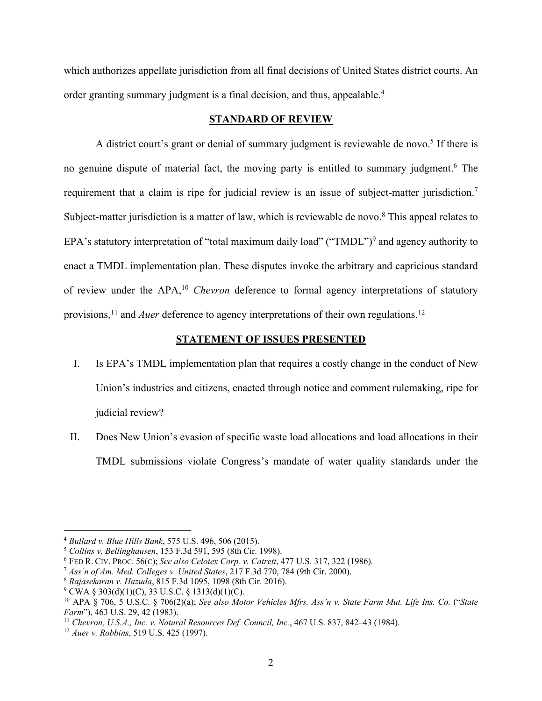which authorizes appellate jurisdiction from all final decisions of United States district courts. An order granting summary judgment is a final decision, and thus, appealable.<sup>4</sup>

### **STANDARD OF REVIEW**

A district court's grant or denial of summary judgment is reviewable de novo.<sup>5</sup> If there is no genuine dispute of material fact, the moving party is entitled to summary judgment.<sup>6</sup> The requirement that a claim is ripe for judicial review is an issue of subject-matter jurisdiction.<sup>7</sup> Subject-matter jurisdiction is a matter of law, which is reviewable de novo.<sup>8</sup> This appeal relates to EPA's statutory interpretation of "total maximum daily load" ("TMDL")<sup>9</sup> and agency authority to enact a TMDL implementation plan. These disputes invoke the arbitrary and capricious standard of review under the APA,10 *Chevron* deference to formal agency interpretations of statutory provisions,<sup>11</sup> and *Auer* deference to agency interpretations of their own regulations.<sup>12</sup>

### **STATEMENT OF ISSUES PRESENTED**

- I. Is EPA's TMDL implementation plan that requires a costly change in the conduct of New Union's industries and citizens, enacted through notice and comment rulemaking, ripe for judicial review?
- II. Does New Union's evasion of specific waste load allocations and load allocations in their TMDL submissions violate Congress's mandate of water quality standards under the

<sup>4</sup> *Bullard v. Blue Hills Bank*, 575 U.S. 496, 506 (2015).

<sup>5</sup> *Collins v. Bellinghausen*, 153 F.3d 591, 595 (8th Cir. 1998).

<sup>6</sup> FED R. CIV. PROC. 56(C); *See also Celotex Corp. v. Catrett*, 477 U.S. 317, 322 (1986).

<sup>7</sup> *Ass'n of Am. Med. Colleges v. United States*, 217 F.3d 770, 784 (9th Cir. 2000).

<sup>8</sup> *Rajasekaran v. Hazuda*, 815 F.3d 1095, 1098 (8th Cir. 2016).

 $9^{\circ}$  CWA § 303(d)(1)(C), 33 U.S.C. § 1313(d)(1)(C).

<sup>10</sup> APA § 706, 5 U.S.C. § 706(2)(a); *See also Motor Vehicles Mfrs. Ass'n v. State Farm Mut. Life Ins. Co.* ("*State Farm*"), 463 U.S. 29, 42 (1983).

<sup>11</sup> *Chevron, U.S.A., Inc. v. Natural Resources Def. Council, Inc.*, 467 U.S. 837, 842–43 (1984).

<sup>12</sup> *Auer v. Robbins*, 519 U.S. 425 (1997).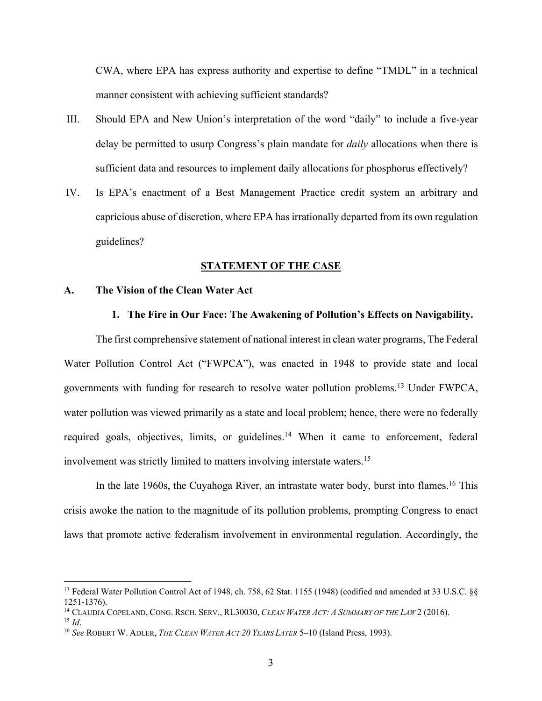CWA, where EPA has express authority and expertise to define "TMDL" in a technical manner consistent with achieving sufficient standards?

- III. Should EPA and New Union's interpretation of the word "daily" to include a five-year delay be permitted to usurp Congress's plain mandate for *daily* allocations when there is sufficient data and resources to implement daily allocations for phosphorus effectively?
- IV. Is EPA's enactment of a Best Management Practice credit system an arbitrary and capricious abuse of discretion, where EPA has irrationally departed from its own regulation guidelines?

#### **STATEMENT OF THE CASE**

#### **A. The Vision of the Clean Water Act**

#### **1. The Fire in Our Face: The Awakening of Pollution's Effects on Navigability.**

The first comprehensive statement of national interest in clean water programs, The Federal Water Pollution Control Act ("FWPCA"), was enacted in 1948 to provide state and local governments with funding for research to resolve water pollution problems.13 Under FWPCA, water pollution was viewed primarily as a state and local problem; hence, there were no federally required goals, objectives, limits, or guidelines.<sup>14</sup> When it came to enforcement, federal involvement was strictly limited to matters involving interstate waters.15

In the late 1960s, the Cuyahoga River, an intrastate water body, burst into flames.<sup>16</sup> This crisis awoke the nation to the magnitude of its pollution problems, prompting Congress to enact laws that promote active federalism involvement in environmental regulation. Accordingly, the

<sup>&</sup>lt;sup>13</sup> Federal Water Pollution Control Act of 1948, ch. 758, 62 Stat. 1155 (1948) (codified and amended at 33 U.S.C. §§ 1251-1376).

<sup>14</sup> CLAUDIA COPELAND, CONG. RSCH. SERV., RL30030, *CLEAN WATER ACT: A SUMMARY OF THE LAW* 2 (2016).  $^{15}$  *Id.* 

<sup>16</sup> *See* ROBERT W. ADLER, *THE CLEAN WATER ACT 20 YEARS LATER* 5–10 (Island Press, 1993).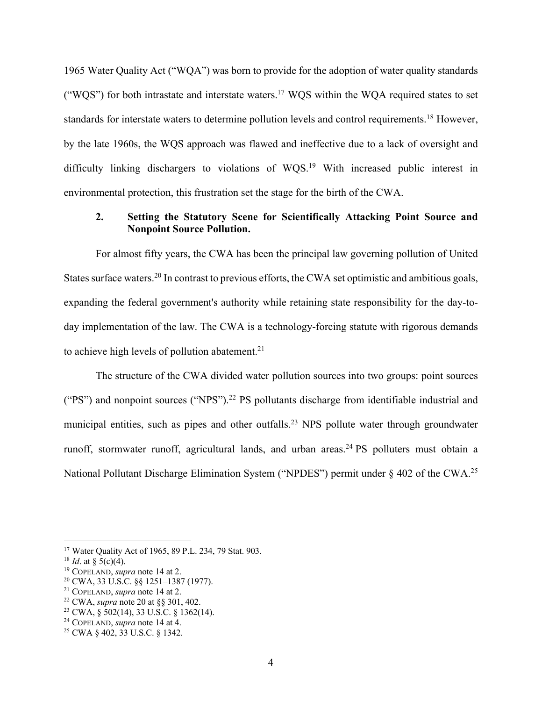1965 Water Quality Act ("WQA") was born to provide for the adoption of water quality standards ("WQS") for both intrastate and interstate waters.<sup>17</sup> WQS within the WQA required states to set standards for interstate waters to determine pollution levels and control requirements.<sup>18</sup> However, by the late 1960s, the WQS approach was flawed and ineffective due to a lack of oversight and difficulty linking dischargers to violations of WQS.<sup>19</sup> With increased public interest in environmental protection, this frustration set the stage for the birth of the CWA.

### **2. Setting the Statutory Scene for Scientifically Attacking Point Source and Nonpoint Source Pollution.**

For almost fifty years, the CWA has been the principal law governing pollution of United States surface waters.<sup>20</sup> In contrast to previous efforts, the CWA set optimistic and ambitious goals, expanding the federal government's authority while retaining state responsibility for the day-today implementation of the law. The CWA is a technology-forcing statute with rigorous demands to achieve high levels of pollution abatement.<sup>21</sup>

The structure of the CWA divided water pollution sources into two groups: point sources ("PS") and nonpoint sources ("NPS").22 PS pollutants discharge from identifiable industrial and municipal entities, such as pipes and other outfalls.<sup>23</sup> NPS pollute water through groundwater runoff, stormwater runoff, agricultural lands, and urban areas.<sup>24</sup> PS polluters must obtain a National Pollutant Discharge Elimination System ("NPDES") permit under § 402 of the CWA.<sup>25</sup>

<sup>22</sup> CWA, *supra* note 20 at §§ 301, 402.

<sup>17</sup> Water Quality Act of 1965, 89 P.L. 234, 79 Stat. 903.

<sup>&</sup>lt;sup>18</sup> *Id.* at  $\frac{5(c)}{4}$ .

<sup>19</sup> COPELAND, *supra* note 14 at 2.

<sup>20</sup> CWA, 33 U.S.C. §§ 1251–1387 (1977).

<sup>21</sup> COPELAND, *supra* note 14 at 2.

<sup>23</sup> CWA, § 502(14), 33 U.S.C. § 1362(14).

<sup>24</sup> COPELAND, *supra* note 14 at 4.

<sup>25</sup> CWA § 402, 33 U.S.C. § 1342.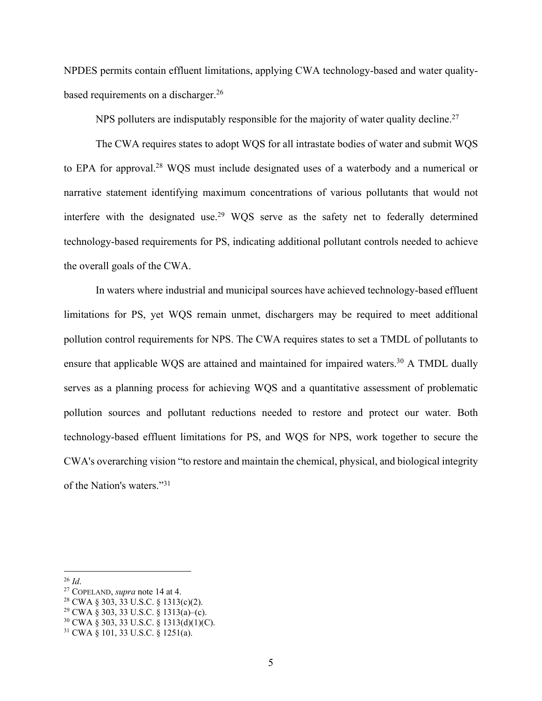NPDES permits contain effluent limitations, applying CWA technology-based and water qualitybased requirements on a discharger.<sup>26</sup>

NPS polluters are indisputably responsible for the majority of water quality decline.<sup>27</sup>

The CWA requires states to adopt WQS for all intrastate bodies of water and submit WQS to EPA for approval.<sup>28</sup> WQS must include designated uses of a waterbody and a numerical or narrative statement identifying maximum concentrations of various pollutants that would not interfere with the designated use.<sup>29</sup> WQS serve as the safety net to federally determined technology-based requirements for PS, indicating additional pollutant controls needed to achieve the overall goals of the CWA.

In waters where industrial and municipal sources have achieved technology-based effluent limitations for PS, yet WQS remain unmet, dischargers may be required to meet additional pollution control requirements for NPS. The CWA requires states to set a TMDL of pollutants to ensure that applicable WQS are attained and maintained for impaired waters.<sup>30</sup> A TMDL dually serves as a planning process for achieving WQS and a quantitative assessment of problematic pollution sources and pollutant reductions needed to restore and protect our water. Both technology-based effluent limitations for PS, and WQS for NPS, work together to secure the CWA's overarching vision "to restore and maintain the chemical, physical, and biological integrity of the Nation's waters."31

<sup>26</sup> *Id*.

<sup>27</sup> COPELAND, *supra* note 14 at 4.

<sup>28</sup> CWA § 303, 33 U.S.C. § 1313(c)(2).

<sup>29</sup> CWA § 303, 33 U.S.C. § 1313(a)–(c).

<sup>30</sup> CWA § 303, 33 U.S.C. § 1313(d)(1)(C).

<sup>31</sup> CWA § 101, 33 U.S.C. § 1251(a).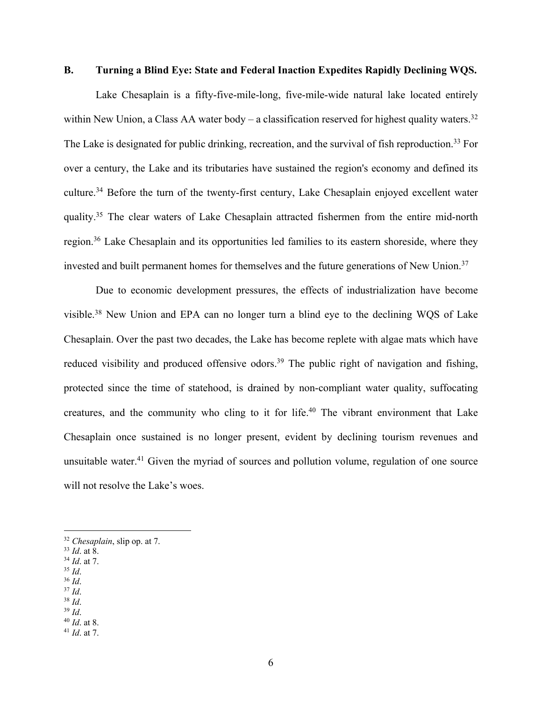#### **B. Turning a Blind Eye: State and Federal Inaction Expedites Rapidly Declining WQS.**

Lake Chesaplain is a fifty-five-mile-long, five-mile-wide natural lake located entirely within New Union, a Class AA water body – a classification reserved for highest quality waters.<sup>32</sup> The Lake is designated for public drinking, recreation, and the survival of fish reproduction.<sup>33</sup> For over a century, the Lake and its tributaries have sustained the region's economy and defined its culture.34 Before the turn of the twenty-first century, Lake Chesaplain enjoyed excellent water quality.35 The clear waters of Lake Chesaplain attracted fishermen from the entire mid-north region.36 Lake Chesaplain and its opportunities led families to its eastern shoreside, where they invested and built permanent homes for themselves and the future generations of New Union.<sup>37</sup>

Due to economic development pressures, the effects of industrialization have become visible.38 New Union and EPA can no longer turn a blind eye to the declining WQS of Lake Chesaplain. Over the past two decades, the Lake has become replete with algae mats which have reduced visibility and produced offensive odors.<sup>39</sup> The public right of navigation and fishing, protected since the time of statehood, is drained by non-compliant water quality, suffocating creatures, and the community who cling to it for life.40 The vibrant environment that Lake Chesaplain once sustained is no longer present, evident by declining tourism revenues and unsuitable water.<sup>41</sup> Given the myriad of sources and pollution volume, regulation of one source will not resolve the Lake's woes.

- <sup>34</sup> *Id*. at 7.
- <sup>35</sup> *Id*. <sup>36</sup> *Id*.
- <sup>37</sup> *Id*.
- <sup>38</sup> *Id*.
- <sup>39</sup> *Id*.
- <sup>40</sup> *Id*. at 8.
- <sup>41</sup> *Id*. at 7.

<sup>32</sup> *Chesaplain*, slip op. at 7.

<sup>33</sup> *Id*. at 8.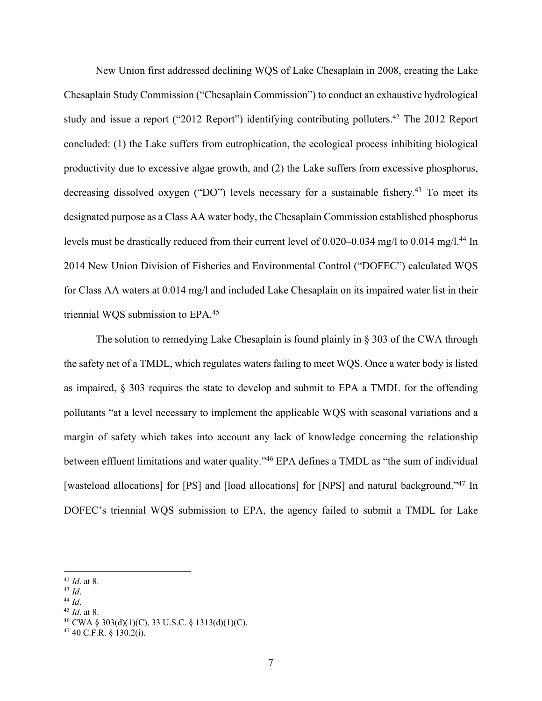New Union first addressed declining WQS of Lake Chesaplain in 2008, creating the Lake Chesaplain Study Commission ("Chesaplain Commission") to conduct an exhaustive hydrological study and issue a report ("2012 Report") identifying contributing polluters.<sup>42</sup> The 2012 Report concluded: (1) the Lake suffers from eutrophication, the ecological process inhibiting biological productivity due to excessive algae growth, and (2) the Lake suffers from excessive phosphorus, decreasing dissolved oxygen ("DO") levels necessary for a sustainable fishery.<sup>43</sup> To meet its designated purpose as a Class AA water body, the Chesaplain Commission established phosphorus levels must be drastically reduced from their current level of 0.020–0.034 mg/l to 0.014 mg/l.<sup>44</sup> In 2014 New Union Division of Fisheries and Environmental Control ("DOFEC") calculated WQS for Class AA waters at 0.014 mg/l and included Lake Chesaplain on its impaired water list in their triennial WQS submission to EPA.45

The solution to remedying Lake Chesaplain is found plainly in § 303 of the CWA through the safety net of a TMDL, which regulates waters failing to meet WQS. Once a water body is listed as impaired, § 303 requires the state to develop and submit to EPA a TMDL for the offending pollutants "at a level necessary to implement the applicable WQS with seasonal variations and a margin of safety which takes into account any lack of knowledge concerning the relationship between effluent limitations and water quality."46 EPA defines a TMDL as "the sum of individual [wasteload allocations] for [PS] and [load allocations] for [NPS] and natural background."<sup>47</sup> In DOFEC's triennial WQS submission to EPA, the agency failed to submit a TMDL for Lake

- <sup>43</sup> *Id*.
- <sup>44</sup> *Id*.
- <sup>45</sup> *Id*. at 8.

<sup>42</sup> *Id*. at 8.

<sup>46</sup> CWA § 303(d)(1)(C), 33 U.S.C. § 1313(d)(1)(C).

 $47$  40 C.F.R. § 130.2(i).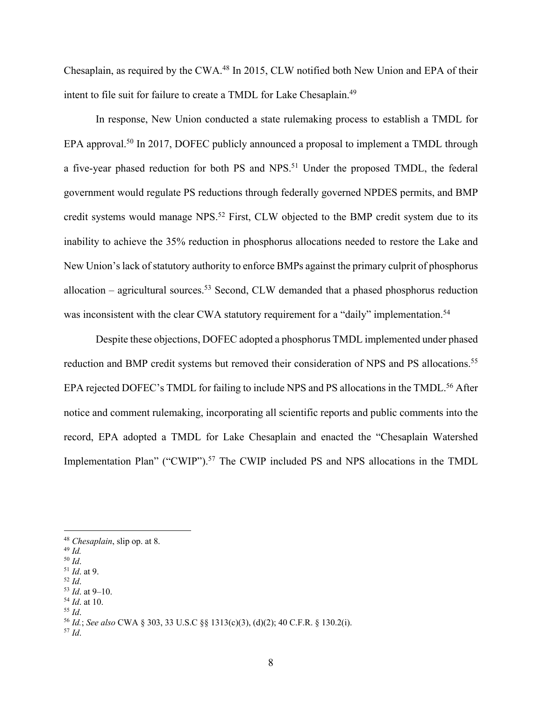Chesaplain, as required by the CWA.48 In 2015, CLW notified both New Union and EPA of their intent to file suit for failure to create a TMDL for Lake Chesaplain.<sup>49</sup>

In response, New Union conducted a state rulemaking process to establish a TMDL for EPA approval.<sup>50</sup> In 2017, DOFEC publicly announced a proposal to implement a TMDL through a five-year phased reduction for both PS and NPS.<sup>51</sup> Under the proposed TMDL, the federal government would regulate PS reductions through federally governed NPDES permits, and BMP credit systems would manage NPS.<sup>52</sup> First, CLW objected to the BMP credit system due to its inability to achieve the 35% reduction in phosphorus allocations needed to restore the Lake and New Union's lack of statutory authority to enforce BMPs against the primary culprit of phosphorus allocation – agricultural sources.<sup>53</sup> Second, CLW demanded that a phased phosphorus reduction was inconsistent with the clear CWA statutory requirement for a "daily" implementation.<sup>54</sup>

Despite these objections, DOFEC adopted a phosphorus TMDL implemented under phased reduction and BMP credit systems but removed their consideration of NPS and PS allocations.<sup>55</sup> EPA rejected DOFEC's TMDL for failing to include NPS and PS allocations in the TMDL.<sup>56</sup> After notice and comment rulemaking, incorporating all scientific reports and public comments into the record, EPA adopted a TMDL for Lake Chesaplain and enacted the "Chesaplain Watershed Implementation Plan" ("CWIP").<sup>57</sup> The CWIP included PS and NPS allocations in the TMDL

- <sup>49</sup> *Id.*
- <sup>50</sup> *Id*.
- <sup>51</sup> *Id*. at 9.
- <sup>52</sup> *Id*.
- <sup>53</sup> *Id*. at 9–10. <sup>54</sup> *Id*. at 10.
- <sup>55</sup> *Id*.

<sup>57</sup> *Id*.

<sup>48</sup> *Chesaplain*, slip op. at 8.

<sup>56</sup> *Id.*; *See also* CWA § 303, 33 U.S.C §§ 1313(c)(3), (d)(2); 40 C.F.R. § 130.2(i).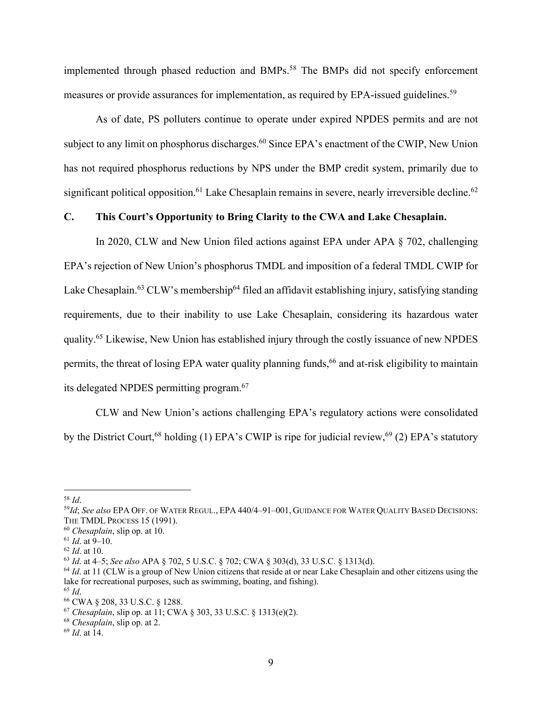implemented through phased reduction and BMPs.58 The BMPs did not specify enforcement measures or provide assurances for implementation, as required by EPA-issued guidelines.<sup>59</sup>

As of date, PS polluters continue to operate under expired NPDES permits and are not subject to any limit on phosphorus discharges.<sup>60</sup> Since EPA's enactment of the CWIP, New Union has not required phosphorus reductions by NPS under the BMP credit system, primarily due to significant political opposition.<sup>61</sup> Lake Chesaplain remains in severe, nearly irreversible decline.<sup>62</sup>

#### **C. This Court's Opportunity to Bring Clarity to the CWA and Lake Chesaplain.**

In 2020, CLW and New Union filed actions against EPA under APA § 702, challenging EPA's rejection of New Union's phosphorus TMDL and imposition of a federal TMDL CWIP for Lake Chesaplain.<sup>63</sup> CLW's membership<sup>64</sup> filed an affidavit establishing injury, satisfying standing requirements, due to their inability to use Lake Chesaplain, considering its hazardous water quality.<sup>65</sup> Likewise, New Union has established injury through the costly issuance of new NPDES permits, the threat of losing EPA water quality planning funds,<sup>66</sup> and at-risk eligibility to maintain its delegated NPDES permitting program.67

CLW and New Union's actions challenging EPA's regulatory actions were consolidated by the District Court,<sup>68</sup> holding (1) EPA's CWIP is ripe for judicial review,<sup>69</sup> (2) EPA's statutory

<sup>58</sup> *Id*.

<sup>59</sup>*Id*; *See also* EPA OFF. OF WATER REGUL., EPA 440/4–91–001, GUIDANCE FOR WATER QUALITY BASED DECISIONS: THE TMDL PROCESS 15 (1991).

<sup>60</sup> *Chesaplain*, slip op. at 10.

<sup>61</sup> *Id*. at 9–10.

<sup>62</sup> *Id*. at 10.

<sup>63</sup> *Id*. at 4–5; *See also* APA § 702, 5 U.S.C. § 702; CWA § 303(d), 33 U.S.C. § 1313(d).

<sup>&</sup>lt;sup>64</sup> *Id.* at 11 (CLW is a group of New Union citizens that reside at or near Lake Chesaplain and other citizens using the lake for recreational purposes, such as swimming, boating, and fishing).

<sup>65</sup> *Id*.

<sup>66</sup> CWA § 208, 33 U.S.C. § 1288.

<sup>67</sup> *Chesaplain*, slip op. at 11; CWA § 303, 33 U.S.C. § 1313(e)(2).

<sup>68</sup> *Chesaplain*, slip op. at 2.

<sup>69</sup> *Id*. at 14.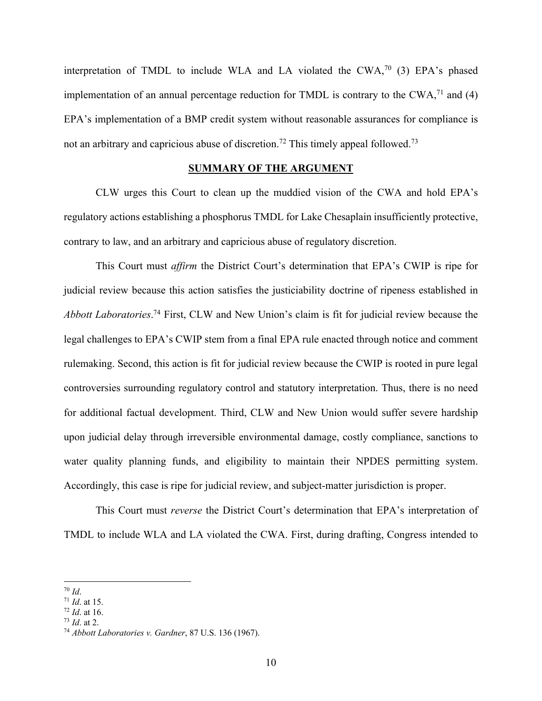interpretation of TMDL to include WLA and LA violated the  $CWA$ <sup> $70$ </sup> (3) EPA's phased implementation of an annual percentage reduction for TMDL is contrary to the CWA, $<sup>71</sup>$  and (4)</sup> EPA's implementation of a BMP credit system without reasonable assurances for compliance is not an arbitrary and capricious abuse of discretion.<sup>72</sup> This timely appeal followed.<sup>73</sup>

#### **SUMMARY OF THE ARGUMENT**

CLW urges this Court to clean up the muddied vision of the CWA and hold EPA's regulatory actions establishing a phosphorus TMDL for Lake Chesaplain insufficiently protective, contrary to law, and an arbitrary and capricious abuse of regulatory discretion.

This Court must *affirm* the District Court's determination that EPA's CWIP is ripe for judicial review because this action satisfies the justiciability doctrine of ripeness established in *Abbott Laboratories*. <sup>74</sup> First, CLW and New Union's claim is fit for judicial review because the legal challenges to EPA's CWIP stem from a final EPA rule enacted through notice and comment rulemaking. Second, this action is fit for judicial review because the CWIP is rooted in pure legal controversies surrounding regulatory control and statutory interpretation. Thus, there is no need for additional factual development. Third, CLW and New Union would suffer severe hardship upon judicial delay through irreversible environmental damage, costly compliance, sanctions to water quality planning funds, and eligibility to maintain their NPDES permitting system. Accordingly, this case is ripe for judicial review, and subject-matter jurisdiction is proper.

This Court must *reverse* the District Court's determination that EPA's interpretation of TMDL to include WLA and LA violated the CWA. First, during drafting, Congress intended to

<sup>70</sup> *Id*.

<sup>71</sup> *Id*. at 15.

<sup>72</sup> *Id*. at 16.

<sup>73</sup> *Id*. at 2.

<sup>74</sup> *Abbott Laboratories v. Gardner*, 87 U.S. 136 (1967).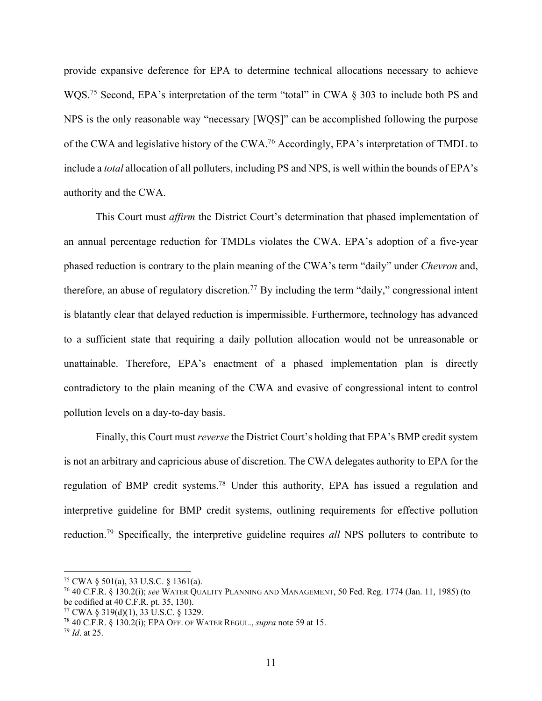provide expansive deference for EPA to determine technical allocations necessary to achieve WQS.<sup>75</sup> Second, EPA's interpretation of the term "total" in CWA § 303 to include both PS and NPS is the only reasonable way "necessary [WQS]" can be accomplished following the purpose of the CWA and legislative history of the CWA.76 Accordingly, EPA's interpretation of TMDL to include a *total* allocation of all polluters, including PS and NPS, is well within the bounds of EPA's authority and the CWA.

This Court must *affirm* the District Court's determination that phased implementation of an annual percentage reduction for TMDLs violates the CWA. EPA's adoption of a five-year phased reduction is contrary to the plain meaning of the CWA's term "daily" under *Chevron* and, therefore, an abuse of regulatory discretion.<sup>77</sup> By including the term "daily," congressional intent is blatantly clear that delayed reduction is impermissible. Furthermore, technology has advanced to a sufficient state that requiring a daily pollution allocation would not be unreasonable or unattainable. Therefore, EPA's enactment of a phased implementation plan is directly contradictory to the plain meaning of the CWA and evasive of congressional intent to control pollution levels on a day-to-day basis.

Finally, this Court must *reverse* the District Court's holding that EPA's BMP credit system is not an arbitrary and capricious abuse of discretion. The CWA delegates authority to EPA for the regulation of BMP credit systems.78 Under this authority, EPA has issued a regulation and interpretive guideline for BMP credit systems, outlining requirements for effective pollution reduction.79 Specifically, the interpretive guideline requires *all* NPS polluters to contribute to

<sup>75</sup> CWA § 501(a), 33 U.S.C. § 1361(a).

<sup>76</sup> 40 C.F.R. § 130.2(i); *see* WATER QUALITY PLANNING AND MANAGEMENT, 50 Fed. Reg. 1774 (Jan. 11, 1985) (to be codified at 40 C.F.R. pt. 35, 130).

<sup>77</sup> CWA § 319(d)(1), 33 U.S.C. § 1329.

<sup>78</sup> 40 C.F.R. § 130.2(i); EPA OFF. OF WATER REGUL., *supra* note 59 at 15.

<sup>79</sup> *Id*. at 25.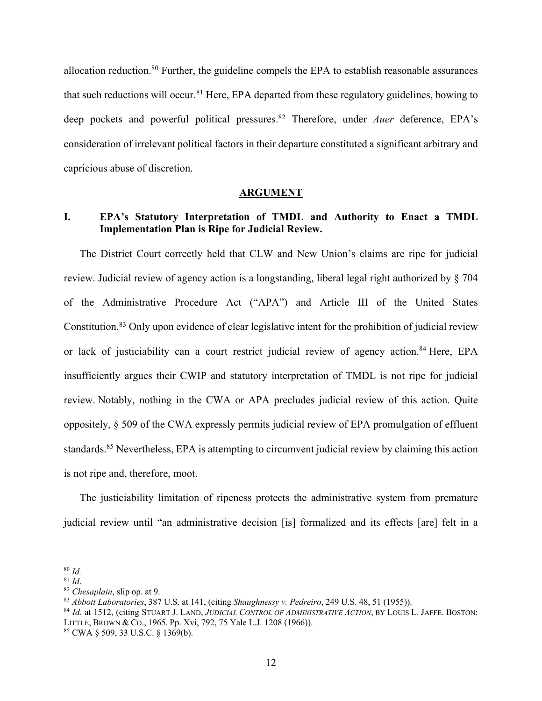allocation reduction.80 Further, the guideline compels the EPA to establish reasonable assurances that such reductions will occur.<sup>81</sup> Here, EPA departed from these regulatory guidelines, bowing to deep pockets and powerful political pressures.<sup>82</sup> Therefore, under *Auer* deference, EPA's consideration of irrelevant political factors in their departure constituted a significant arbitrary and capricious abuse of discretion.

#### **ARGUMENT**

### **I. EPA's Statutory Interpretation of TMDL and Authority to Enact a TMDL Implementation Plan is Ripe for Judicial Review.**

The District Court correctly held that CLW and New Union's claims are ripe for judicial review. Judicial review of agency action is a longstanding, liberal legal right authorized by § 704 of the Administrative Procedure Act ("APA") and Article III of the United States Constitution.83 Only upon evidence of clear legislative intent for the prohibition of judicial review or lack of justiciability can a court restrict judicial review of agency action.<sup>84</sup> Here, EPA insufficiently argues their CWIP and statutory interpretation of TMDL is not ripe for judicial review. Notably, nothing in the CWA or APA precludes judicial review of this action. Quite oppositely, § 509 of the CWA expressly permits judicial review of EPA promulgation of effluent standards.<sup>85</sup> Nevertheless, EPA is attempting to circumvent judicial review by claiming this action is not ripe and, therefore, moot.

The justiciability limitation of ripeness protects the administrative system from premature judicial review until "an administrative decision [is] formalized and its effects [are] felt in a

<sup>80</sup> *Id.*

<sup>81</sup> *Id*. 82 *Chesaplain*, slip op. at 9.

<sup>83</sup> *Abbott Laboratories*, 387 U.S. at 141, (citing *Shaughnessy v. Pedreiro*, 249 U.S. 48, 51 (1955)).

<sup>84</sup> *Id*. at 1512, (citing STUART J. LAND, *JUDICIAL CONTROL OF ADMINISTRATIVE ACTION*, BY LOUIS L. JAFFE. BOSTON: LITTLE, BROWN & CO., 1965. Pp. Xvi, 792, 75 Yale L.J. 1208 (1966)).

<sup>85</sup> CWA § 509, 33 U.S.C. § 1369(b).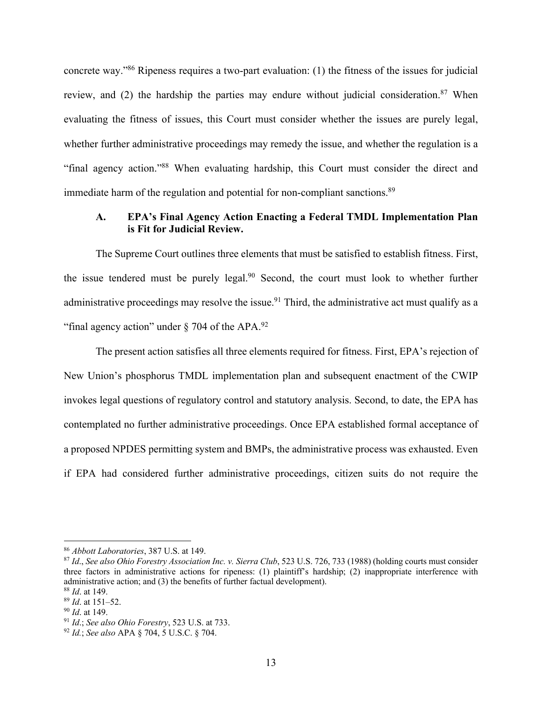concrete way."86 Ripeness requires a two-part evaluation: (1) the fitness of the issues for judicial review, and (2) the hardship the parties may endure without judicial consideration.<sup>87</sup> When evaluating the fitness of issues, this Court must consider whether the issues are purely legal, whether further administrative proceedings may remedy the issue, and whether the regulation is a "final agency action."88 When evaluating hardship, this Court must consider the direct and immediate harm of the regulation and potential for non-compliant sanctions.<sup>89</sup>

### **A. EPA's Final Agency Action Enacting a Federal TMDL Implementation Plan is Fit for Judicial Review.**

The Supreme Court outlines three elements that must be satisfied to establish fitness. First, the issue tendered must be purely legal.<sup>90</sup> Second, the court must look to whether further administrative proceedings may resolve the issue.<sup>91</sup> Third, the administrative act must qualify as a "final agency action" under  $\S$  704 of the APA.<sup>92</sup>

The present action satisfies all three elements required for fitness. First, EPA's rejection of New Union's phosphorus TMDL implementation plan and subsequent enactment of the CWIP invokes legal questions of regulatory control and statutory analysis. Second, to date, the EPA has contemplated no further administrative proceedings. Once EPA established formal acceptance of a proposed NPDES permitting system and BMPs, the administrative process was exhausted. Even if EPA had considered further administrative proceedings, citizen suits do not require the

<sup>86</sup> *Abbott Laboratories*, 387 U.S. at 149.

<sup>87</sup> *Id*., *See also Ohio Forestry Association Inc. v. Sierra Club*, 523 U.S. 726, 733 (1988) (holding courts must consider three factors in administrative actions for ripeness: (1) plaintiff's hardship; (2) inappropriate interference with administrative action; and (3) the benefits of further factual development).

<sup>88</sup> *Id*. at 149.

<sup>89</sup> *Id*. at 151–52.

<sup>90</sup> *Id*. at 149.

<sup>91</sup> *Id*.; *See also Ohio Forestry*, 523 U.S. at 733.

<sup>92</sup> *Id.*; *See also* APA § 704, 5 U.S.C. § 704.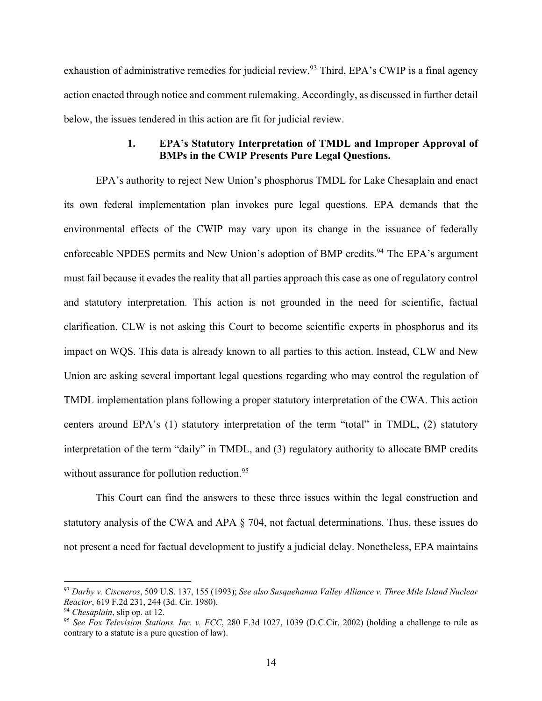exhaustion of administrative remedies for judicial review.<sup>93</sup> Third, EPA's CWIP is a final agency action enacted through notice and comment rulemaking. Accordingly, as discussed in further detail below, the issues tendered in this action are fit for judicial review.

### **1. EPA's Statutory Interpretation of TMDL and Improper Approval of BMPs in the CWIP Presents Pure Legal Questions.**

EPA's authority to reject New Union's phosphorus TMDL for Lake Chesaplain and enact its own federal implementation plan invokes pure legal questions. EPA demands that the environmental effects of the CWIP may vary upon its change in the issuance of federally enforceable NPDES permits and New Union's adoption of BMP credits.<sup>94</sup> The EPA's argument must fail because it evades the reality that all parties approach this case as one of regulatory control and statutory interpretation. This action is not grounded in the need for scientific, factual clarification. CLW is not asking this Court to become scientific experts in phosphorus and its impact on WQS. This data is already known to all parties to this action. Instead, CLW and New Union are asking several important legal questions regarding who may control the regulation of TMDL implementation plans following a proper statutory interpretation of the CWA. This action centers around EPA's (1) statutory interpretation of the term "total" in TMDL, (2) statutory interpretation of the term "daily" in TMDL, and (3) regulatory authority to allocate BMP credits without assurance for pollution reduction.<sup>95</sup>

This Court can find the answers to these three issues within the legal construction and statutory analysis of the CWA and APA § 704, not factual determinations. Thus, these issues do not present a need for factual development to justify a judicial delay. Nonetheless, EPA maintains

<sup>93</sup> *Darby v. Ciscneros*, 509 U.S. 137, 155 (1993); *See also Susquehanna Valley Alliance v. Three Mile Island Nuclear Reactor*, 619 F.2d 231, 244 (3d. Cir. 1980).

<sup>94</sup> *Chesaplain*, slip op. at 12.

<sup>95</sup> *See Fox Television Stations, Inc. v. FCC*, 280 F.3d 1027, 1039 (D.C.Cir. 2002) (holding a challenge to rule as contrary to a statute is a pure question of law).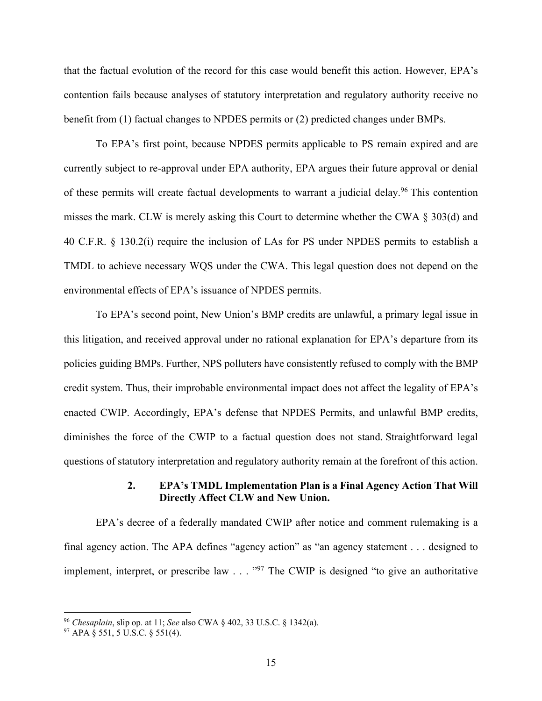that the factual evolution of the record for this case would benefit this action. However, EPA's contention fails because analyses of statutory interpretation and regulatory authority receive no benefit from (1) factual changes to NPDES permits or (2) predicted changes under BMPs.

To EPA's first point, because NPDES permits applicable to PS remain expired and are currently subject to re-approval under EPA authority, EPA argues their future approval or denial of these permits will create factual developments to warrant a judicial delay.<sup>96</sup> This contention misses the mark. CLW is merely asking this Court to determine whether the CWA § 303(d) and 40 C.F.R. § 130.2(i) require the inclusion of LAs for PS under NPDES permits to establish a TMDL to achieve necessary WQS under the CWA. This legal question does not depend on the environmental effects of EPA's issuance of NPDES permits.

To EPA's second point, New Union's BMP credits are unlawful, a primary legal issue in this litigation, and received approval under no rational explanation for EPA's departure from its policies guiding BMPs. Further, NPS polluters have consistently refused to comply with the BMP credit system. Thus, their improbable environmental impact does not affect the legality of EPA's enacted CWIP. Accordingly, EPA's defense that NPDES Permits, and unlawful BMP credits, diminishes the force of the CWIP to a factual question does not stand. Straightforward legal questions of statutory interpretation and regulatory authority remain at the forefront of this action.

### **2. EPA's TMDL Implementation Plan is a Final Agency Action That Will Directly Affect CLW and New Union.**

EPA's decree of a federally mandated CWIP after notice and comment rulemaking is a final agency action. The APA defines "agency action" as "an agency statement . . . designed to implement, interpret, or prescribe law . . . "97 The CWIP is designed "to give an authoritative

<sup>96</sup> *Chesaplain*, slip op. at 11; *See* also CWA § 402, 33 U.S.C. § 1342(a).

<sup>97</sup> APA § 551, 5 U.S.C. § 551(4).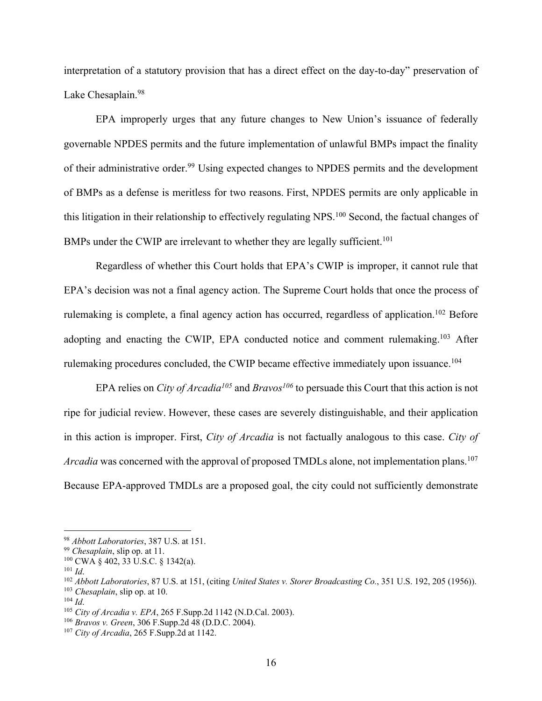interpretation of a statutory provision that has a direct effect on the day-to-day" preservation of Lake Chesaplain.<sup>98</sup>

EPA improperly urges that any future changes to New Union's issuance of federally governable NPDES permits and the future implementation of unlawful BMPs impact the finality of their administrative order.<sup>99</sup> Using expected changes to NPDES permits and the development of BMPs as a defense is meritless for two reasons. First, NPDES permits are only applicable in this litigation in their relationship to effectively regulating NPS.100 Second, the factual changes of BMPs under the CWIP are irrelevant to whether they are legally sufficient.<sup>101</sup>

Regardless of whether this Court holds that EPA's CWIP is improper, it cannot rule that EPA's decision was not a final agency action. The Supreme Court holds that once the process of rulemaking is complete, a final agency action has occurred, regardless of application.<sup>102</sup> Before adopting and enacting the CWIP, EPA conducted notice and comment rulemaking.<sup>103</sup> After rulemaking procedures concluded, the CWIP became effective immediately upon issuance.<sup>104</sup>

EPA relies on *City of Arcadia<sup>105</sup>* and *Bravos<sup>106</sup>* to persuade this Court that this action is not ripe for judicial review. However, these cases are severely distinguishable, and their application in this action is improper. First, *City of Arcadia* is not factually analogous to this case. *City of Arcadia* was concerned with the approval of proposed TMDLs alone, not implementation plans.<sup>107</sup> Because EPA-approved TMDLs are a proposed goal, the city could not sufficiently demonstrate

<sup>98</sup> *Abbott Laboratories*, 387 U.S. at 151.

<sup>99</sup> *Chesaplain*, slip op. at 11.

 $100$  CWA  $\frac{100}{9}$  CWA  $\frac{100}{9}$ ,  $\frac{100}{9}$ ,  $\frac{100}{9}$ ,  $\frac{100}{9}$ ,  $\frac{100}{9}$ ,  $\frac{100}{9}$ ,  $\frac{100}{9}$ ,  $\frac{100}{9}$ ,  $\frac{100}{9}$ ,  $\frac{100}{9}$ ,  $\frac{100}{9}$ ,  $\frac{100}{9}$ ,  $\frac{100}{9}$ ,  $\frac{100}{9}$ ,  $\frac{100}{9}$ ,

<sup>101</sup> *Id*.

<sup>102</sup> *Abbott Laboratories*, 87 U.S. at 151, (citing *United States v. Storer Broadcasting Co.*, 351 U.S. 192, 205 (1956)).

<sup>103</sup> *Chesaplain*, slip op. at 10.

 $104$  *Id*.

<sup>105</sup> *City of Arcadia v. EPA*, 265 F.Supp.2d 1142 (N.D.Cal. 2003).

<sup>106</sup> *Bravos v. Green*, 306 F.Supp.2d 48 (D.D.C. 2004).

<sup>107</sup> *City of Arcadia*, 265 F.Supp.2d at 1142.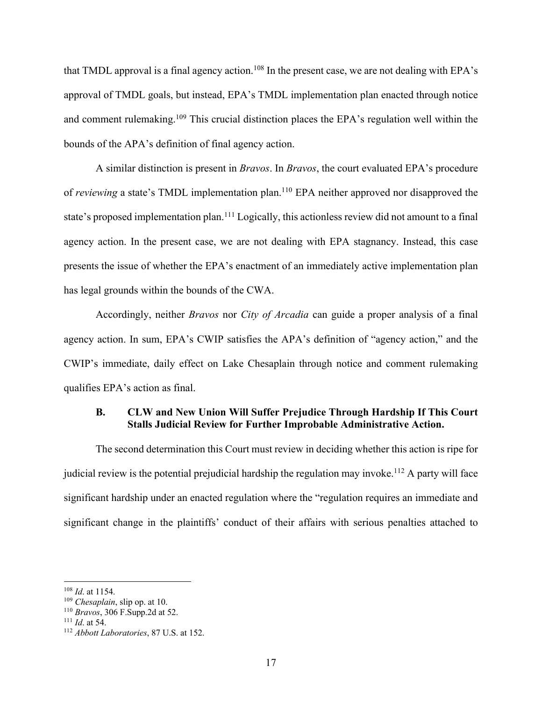that TMDL approval is a final agency action.<sup>108</sup> In the present case, we are not dealing with EPA's approval of TMDL goals, but instead, EPA's TMDL implementation plan enacted through notice and comment rulemaking.109 This crucial distinction places the EPA's regulation well within the bounds of the APA's definition of final agency action.

A similar distinction is present in *Bravos*. In *Bravos*, the court evaluated EPA's procedure of *reviewing* a state's TMDL implementation plan.110 EPA neither approved nor disapproved the state's proposed implementation plan.<sup>111</sup> Logically, this actionless review did not amount to a final agency action. In the present case, we are not dealing with EPA stagnancy. Instead, this case presents the issue of whether the EPA's enactment of an immediately active implementation plan has legal grounds within the bounds of the CWA.

Accordingly, neither *Bravos* nor *City of Arcadia* can guide a proper analysis of a final agency action. In sum, EPA's CWIP satisfies the APA's definition of "agency action," and the CWIP's immediate, daily effect on Lake Chesaplain through notice and comment rulemaking qualifies EPA's action as final.

### **B. CLW and New Union Will Suffer Prejudice Through Hardship If This Court Stalls Judicial Review for Further Improbable Administrative Action.**

The second determination this Court must review in deciding whether this action is ripe for judicial review is the potential prejudicial hardship the regulation may invoke.<sup>112</sup> A party will face significant hardship under an enacted regulation where the "regulation requires an immediate and significant change in the plaintiffs' conduct of their affairs with serious penalties attached to

<sup>108</sup> *Id*. at 1154.

<sup>109</sup> *Chesaplain*, slip op. at 10.

<sup>110</sup> *Bravos*, 306 F.Supp.2d at 52.

<sup>111</sup> *Id*. at 54.

<sup>112</sup> *Abbott Laboratories*, 87 U.S. at 152.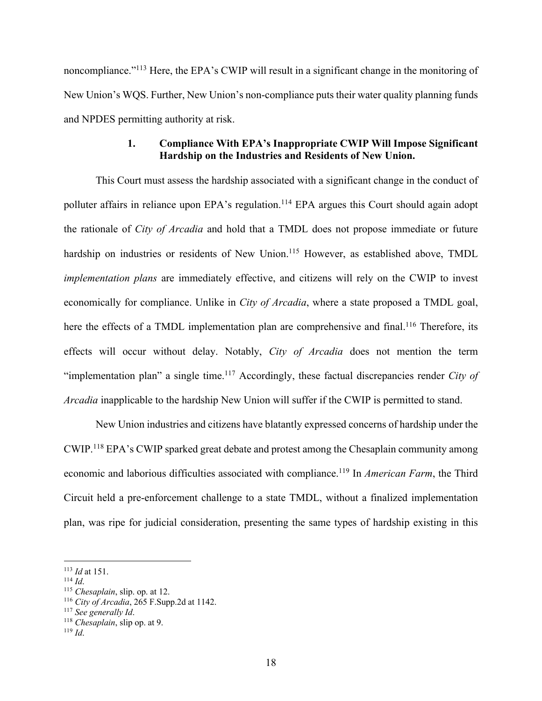noncompliance."<sup>113</sup> Here, the EPA's CWIP will result in a significant change in the monitoring of New Union's WQS. Further, New Union's non-compliance puts their water quality planning funds and NPDES permitting authority at risk.

### **1. Compliance With EPA's Inappropriate CWIP Will Impose Significant Hardship on the Industries and Residents of New Union.**

This Court must assess the hardship associated with a significant change in the conduct of polluter affairs in reliance upon EPA's regulation.<sup>114</sup> EPA argues this Court should again adopt the rationale of *City of Arcadia* and hold that a TMDL does not propose immediate or future hardship on industries or residents of New Union.<sup>115</sup> However, as established above, TMDL *implementation plans* are immediately effective, and citizens will rely on the CWIP to invest economically for compliance. Unlike in *City of Arcadia*, where a state proposed a TMDL goal, here the effects of a TMDL implementation plan are comprehensive and final.<sup>116</sup> Therefore, its effects will occur without delay. Notably, *City of Arcadia* does not mention the term "implementation plan" a single time.117 Accordingly, these factual discrepancies render *City of Arcadia* inapplicable to the hardship New Union will suffer if the CWIP is permitted to stand.

New Union industries and citizens have blatantly expressed concerns of hardship under the CWIP.118 EPA's CWIP sparked great debate and protest among the Chesaplain community among economic and laborious difficulties associated with compliance.119 In *American Farm*, the Third Circuit held a pre-enforcement challenge to a state TMDL, without a finalized implementation plan, was ripe for judicial consideration, presenting the same types of hardship existing in this

<sup>113</sup> *Id* at 151.

<sup>114</sup> *Id*.

<sup>115</sup> *Chesaplain*, slip. op. at 12.

<sup>116</sup> *City of Arcadia*, 265 F.Supp.2d at 1142.

<sup>117</sup> *See generally Id*.

<sup>118</sup> *Chesaplain*, slip op. at 9.

<sup>119</sup> *Id*.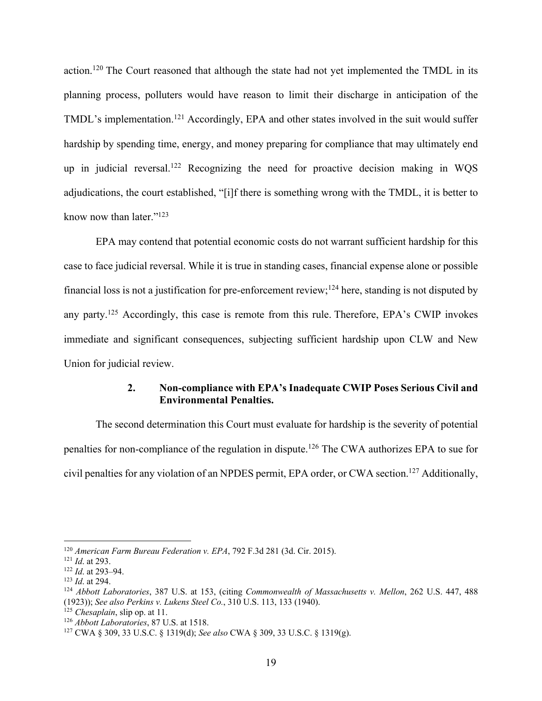action.120 The Court reasoned that although the state had not yet implemented the TMDL in its planning process, polluters would have reason to limit their discharge in anticipation of the TMDL's implementation.<sup>121</sup> Accordingly, EPA and other states involved in the suit would suffer hardship by spending time, energy, and money preparing for compliance that may ultimately end up in judicial reversal.<sup>122</sup> Recognizing the need for proactive decision making in WQS adjudications, the court established, "[i]f there is something wrong with the TMDL, it is better to know now than later."123

EPA may contend that potential economic costs do not warrant sufficient hardship for this case to face judicial reversal. While it is true in standing cases, financial expense alone or possible financial loss is not a justification for pre-enforcement review;124 here, standing is not disputed by any party.125 Accordingly, this case is remote from this rule. Therefore, EPA's CWIP invokes immediate and significant consequences, subjecting sufficient hardship upon CLW and New Union for judicial review.

### **2. Non-compliance with EPA's Inadequate CWIP Poses Serious Civil and Environmental Penalties.**

The second determination this Court must evaluate for hardship is the severity of potential penalties for non-compliance of the regulation in dispute.126 The CWA authorizes EPA to sue for civil penalties for any violation of an NPDES permit, EPA order, or CWA section.127 Additionally,

<sup>120</sup> *American Farm Bureau Federation v. EPA*, 792 F.3d 281 (3d. Cir. 2015).

<sup>121</sup> *Id*. at 293.

<sup>122</sup> *Id*. at 293–94.

<sup>123</sup> *Id*. at 294.

<sup>124</sup> *Abbott Laboratories*, 387 U.S. at 153, (citing *Commonwealth of Massachusetts v. Mellon*, 262 U.S. 447, 488 (1923)); *See also Perkins v. Lukens Steel Co.*, 310 U.S. 113, 133 (1940).

<sup>125</sup> *Chesaplain*, slip op. at 11.

<sup>126</sup> *Abbott Laboratories*, 87 U.S. at 1518.

<sup>127</sup> CWA § 309, 33 U.S.C. § 1319(d); *See also* CWA § 309, 33 U.S.C. § 1319(g).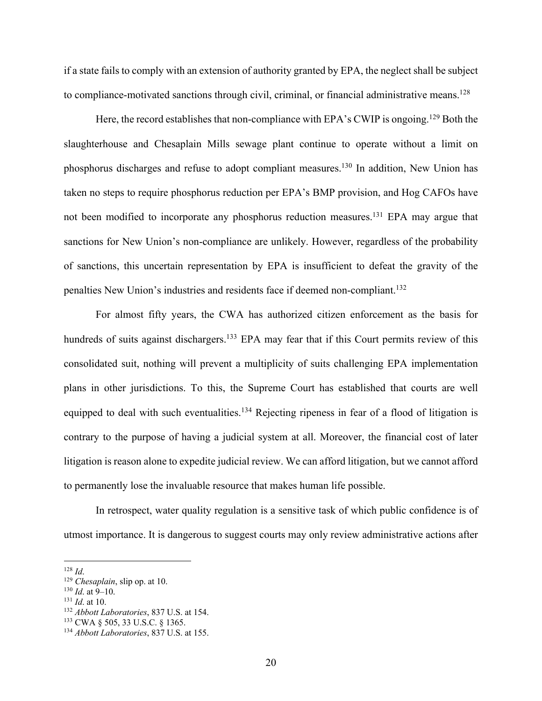if a state fails to comply with an extension of authority granted by EPA, the neglect shall be subject to compliance-motivated sanctions through civil, criminal, or financial administrative means.<sup>128</sup>

Here, the record establishes that non-compliance with EPA's CWIP is ongoing.<sup>129</sup> Both the slaughterhouse and Chesaplain Mills sewage plant continue to operate without a limit on phosphorus discharges and refuse to adopt compliant measures.<sup>130</sup> In addition, New Union has taken no steps to require phosphorus reduction per EPA's BMP provision, and Hog CAFOs have not been modified to incorporate any phosphorus reduction measures.<sup>131</sup> EPA may argue that sanctions for New Union's non-compliance are unlikely. However, regardless of the probability of sanctions, this uncertain representation by EPA is insufficient to defeat the gravity of the penalties New Union's industries and residents face if deemed non-compliant.<sup>132</sup>

For almost fifty years, the CWA has authorized citizen enforcement as the basis for hundreds of suits against dischargers.<sup>133</sup> EPA may fear that if this Court permits review of this consolidated suit, nothing will prevent a multiplicity of suits challenging EPA implementation plans in other jurisdictions. To this, the Supreme Court has established that courts are well equipped to deal with such eventualities.<sup>134</sup> Rejecting ripeness in fear of a flood of litigation is contrary to the purpose of having a judicial system at all. Moreover, the financial cost of later litigation is reason alone to expedite judicial review. We can afford litigation, but we cannot afford to permanently lose the invaluable resource that makes human life possible.

In retrospect, water quality regulation is a sensitive task of which public confidence is of utmost importance. It is dangerous to suggest courts may only review administrative actions after

<sup>128</sup> *Id*.

<sup>129</sup> *Chesaplain*, slip op. at 10.

<sup>130</sup> *Id*. at 9–10.

<sup>131</sup> *Id*. at 10.

<sup>132</sup> *Abbott Laboratories*, 837 U.S. at 154.

<sup>133</sup> CWA § 505, 33 U.S.C. § 1365.

<sup>134</sup> *Abbott Laboratories*, 837 U.S. at 155.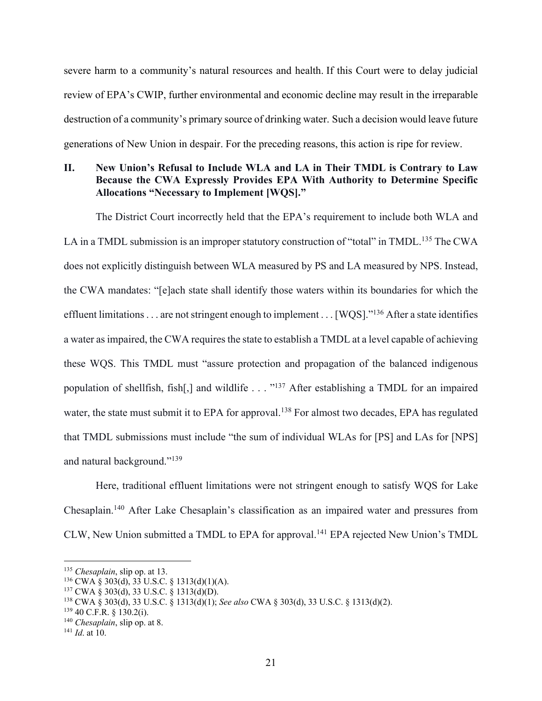severe harm to a community's natural resources and health. If this Court were to delay judicial review of EPA's CWIP, further environmental and economic decline may result in the irreparable destruction of a community's primary source of drinking water. Such a decision would leave future generations of New Union in despair. For the preceding reasons, this action is ripe for review.

### **II. New Union's Refusal to Include WLA and LA in Their TMDL is Contrary to Law Because the CWA Expressly Provides EPA With Authority to Determine Specific Allocations "Necessary to Implement [WQS]."**

The District Court incorrectly held that the EPA's requirement to include both WLA and LA in a TMDL submission is an improper statutory construction of "total" in TMDL.<sup>135</sup> The CWA does not explicitly distinguish between WLA measured by PS and LA measured by NPS. Instead, the CWA mandates: "[e]ach state shall identify those waters within its boundaries for which the effluent limitations . . . are not stringent enough to implement . . . [WQS]."<sup>136</sup> After a state identifies a water as impaired, the CWA requires the state to establish a TMDL at a level capable of achieving these WQS. This TMDL must "assure protection and propagation of the balanced indigenous population of shellfish, fish[,] and wildlife . . . "137 After establishing a TMDL for an impaired water, the state must submit it to EPA for approval.<sup>138</sup> For almost two decades, EPA has regulated that TMDL submissions must include "the sum of individual WLAs for [PS] and LAs for [NPS] and natural background."139

Here, traditional effluent limitations were not stringent enough to satisfy WQS for Lake Chesaplain.140 After Lake Chesaplain's classification as an impaired water and pressures from CLW, New Union submitted a TMDL to EPA for approval.141 EPA rejected New Union's TMDL

<sup>135</sup> *Chesaplain*, slip op. at 13.

<sup>136</sup> CWA § 303(d), 33 U.S.C. § 1313(d)(1)(A).

<sup>137</sup> CWA § 303(d), 33 U.S.C. § 1313(d)(D).

<sup>138</sup> CWA § 303(d), 33 U.S.C. § 1313(d)(1); *See also* CWA § 303(d), 33 U.S.C. § 1313(d)(2).

 $139$  40 C.F.R. § 130.2(i).

<sup>140</sup> *Chesaplain*, slip op. at 8.

<sup>141</sup> *Id*. at 10.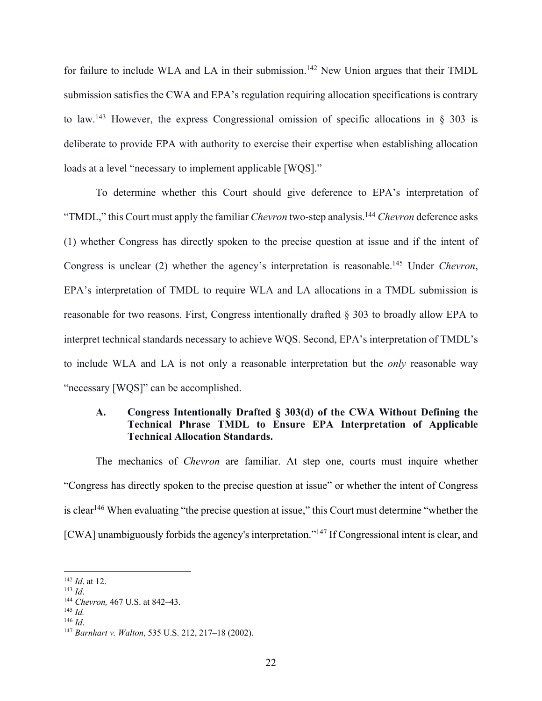for failure to include WLA and LA in their submission.<sup>142</sup> New Union argues that their TMDL submission satisfies the CWA and EPA's regulation requiring allocation specifications is contrary to law.<sup>143</sup> However, the express Congressional omission of specific allocations in  $\S$  303 is deliberate to provide EPA with authority to exercise their expertise when establishing allocation loads at a level "necessary to implement applicable [WQS]."

To determine whether this Court should give deference to EPA's interpretation of "TMDL," this Court must apply the familiar *Chevron* two-step analysis.<sup>144</sup> *Chevron* deference asks (1) whether Congress has directly spoken to the precise question at issue and if the intent of Congress is unclear (2) whether the agency's interpretation is reasonable.145 Under *Chevron*, EPA's interpretation of TMDL to require WLA and LA allocations in a TMDL submission is reasonable for two reasons. First, Congress intentionally drafted § 303 to broadly allow EPA to interpret technical standards necessary to achieve WQS. Second, EPA's interpretation of TMDL's to include WLA and LA is not only a reasonable interpretation but the *only* reasonable way "necessary [WQS]" can be accomplished.

### **A. Congress Intentionally Drafted § 303(d) of the CWA Without Defining the Technical Phrase TMDL to Ensure EPA Interpretation of Applicable Technical Allocation Standards.**

The mechanics of *Chevron* are familiar. At step one, courts must inquire whether "Congress has directly spoken to the precise question at issue" or whether the intent of Congress is clear<sup>146</sup> When evaluating "the precise question at issue," this Court must determine "whether the [CWA] unambiguously forbids the agency's interpretation."<sup>147</sup> If Congressional intent is clear, and

<sup>142</sup> *Id*. at 12.

<sup>143</sup> *Id*.

<sup>144</sup> *Chevron,* 467 U.S. at 842–43.

<sup>145</sup> *Id.*

<sup>146</sup> *Id*.

<sup>147</sup> *Barnhart v. Walton*, 535 U.S. 212, 217–18 (2002).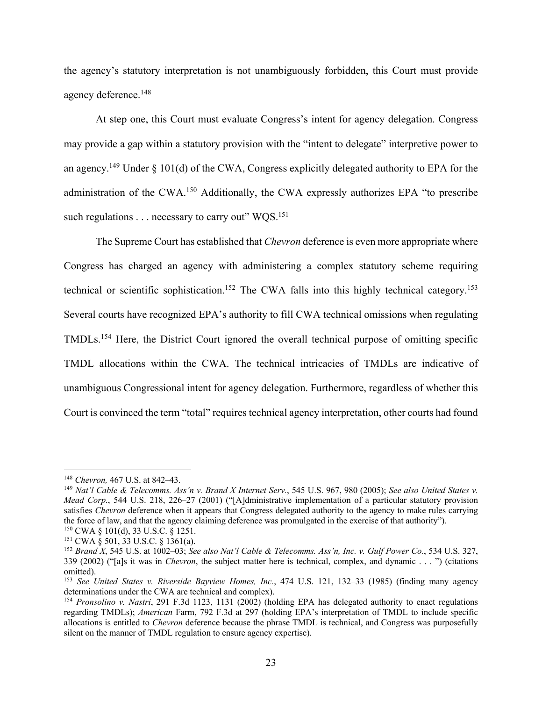the agency's statutory interpretation is not unambiguously forbidden, this Court must provide agency deference.148

At step one, this Court must evaluate Congress's intent for agency delegation. Congress may provide a gap within a statutory provision with the "intent to delegate" interpretive power to an agency.<sup>149</sup> Under  $\S$  101(d) of the CWA, Congress explicitly delegated authority to EPA for the administration of the CWA.150 Additionally, the CWA expressly authorizes EPA "to prescribe such regulations  $\dots$  necessary to carry out" WQS.<sup>151</sup>

The Supreme Court has established that *Chevron* deference is even more appropriate where Congress has charged an agency with administering a complex statutory scheme requiring technical or scientific sophistication.<sup>152</sup> The CWA falls into this highly technical category.<sup>153</sup> Several courts have recognized EPA's authority to fill CWA technical omissions when regulating TMDLs.154 Here, the District Court ignored the overall technical purpose of omitting specific TMDL allocations within the CWA. The technical intricacies of TMDLs are indicative of unambiguous Congressional intent for agency delegation. Furthermore, regardless of whether this Court is convinced the term "total" requires technical agency interpretation, other courts had found

<sup>148</sup> *Chevron,* 467 U.S. at 842–43.

<sup>149</sup> *Nat'l Cable & Telecomms. Ass'n v. Brand X Internet Serv.*, 545 U.S. 967, 980 (2005); *See also United States v. Mead Corp.*, 544 U.S. 218, 226–27 (2001) ("[A]dministrative implementation of a particular statutory provision satisfies *Chevron* deference when it appears that Congress delegated authority to the agency to make rules carrying the force of law, and that the agency claiming deference was promulgated in the exercise of that authority"). <sup>150</sup> CWA § 101(d), 33 U.S.C. § 1251.

<sup>151</sup> CWA § 501, 33 U.S.C. § 1361(a).

<sup>152</sup> *Brand X*, 545 U.S. at 1002–03; *See also Nat'l Cable & Telecomms. Ass'n, Inc. v. Gulf Power Co.*, 534 U.S. 327, 339 (2002) ("[a]s it was in *Chevron*, the subject matter here is technical, complex, and dynamic . . . ") (citations omitted).

<sup>153</sup> *See United States v. Riverside Bayview Homes, Inc.*, 474 U.S. 121, 132–33 (1985) (finding many agency determinations under the CWA are technical and complex).

<sup>&</sup>lt;sup>154</sup> *Pronsolino v. Nastri*, 291 F.3d 1123, 1131 (2002) (holding EPA has delegated authority to enact regulations regarding TMDLs); *American* Farm, 792 F.3d at 297 (holding EPA's interpretation of TMDL to include specific allocations is entitled to *Chevron* deference because the phrase TMDL is technical, and Congress was purposefully silent on the manner of TMDL regulation to ensure agency expertise).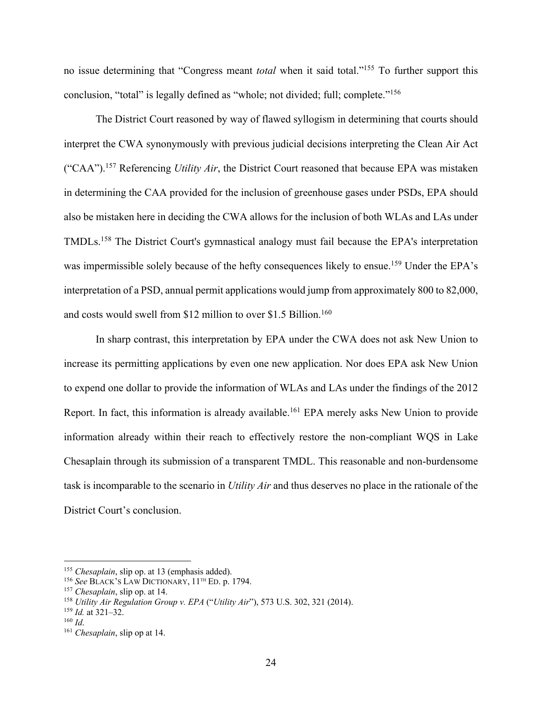no issue determining that "Congress meant *total* when it said total."155 To further support this conclusion, "total" is legally defined as "whole; not divided; full; complete."156

The District Court reasoned by way of flawed syllogism in determining that courts should interpret the CWA synonymously with previous judicial decisions interpreting the Clean Air Act ("CAA").157 Referencing *Utility Air*, the District Court reasoned that because EPA was mistaken in determining the CAA provided for the inclusion of greenhouse gases under PSDs, EPA should also be mistaken here in deciding the CWA allows for the inclusion of both WLAs and LAs under TMDLs.158 The District Court's gymnastical analogy must fail because the EPA's interpretation was impermissible solely because of the hefty consequences likely to ensue.<sup>159</sup> Under the EPA's interpretation of a PSD, annual permit applications would jump from approximately 800 to 82,000, and costs would swell from \$12 million to over \$1.5 Billion.<sup>160</sup>

In sharp contrast, this interpretation by EPA under the CWA does not ask New Union to increase its permitting applications by even one new application. Nor does EPA ask New Union to expend one dollar to provide the information of WLAs and LAs under the findings of the 2012 Report. In fact, this information is already available.<sup>161</sup> EPA merely asks New Union to provide information already within their reach to effectively restore the non-compliant WQS in Lake Chesaplain through its submission of a transparent TMDL. This reasonable and non-burdensome task is incomparable to the scenario in *Utility Air* and thus deserves no place in the rationale of the District Court's conclusion.

<sup>155</sup> *Chesaplain*, slip op. at 13 (emphasis added).

<sup>156</sup> *See* BLACK'S LAW DICTIONARY, 11TH ED. p. 1794.

<sup>157</sup> *Chesaplain*, slip op. at 14.

<sup>158</sup> *Utility Air Regulation Group v. EPA* ("*Utility Air*"), 573 U.S. 302, 321 (2014).

<sup>159</sup> *Id.* at 321–32.

<sup>160</sup> *Id*.

<sup>161</sup> *Chesaplain*, slip op at 14.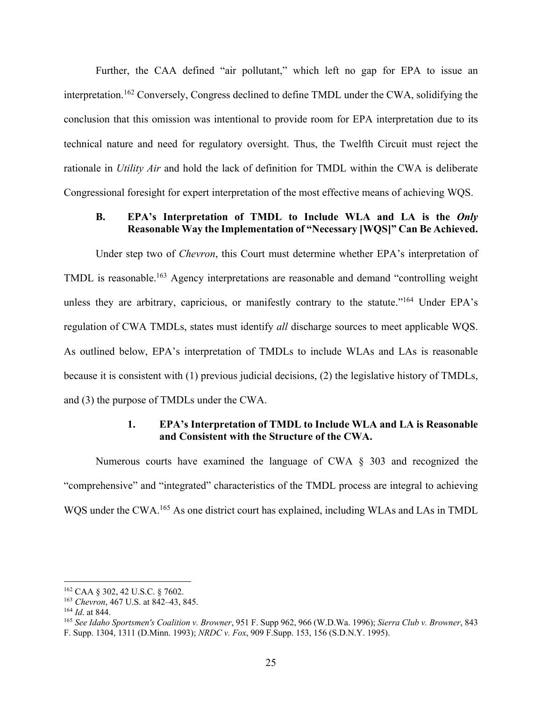Further, the CAA defined "air pollutant," which left no gap for EPA to issue an interpretation.162 Conversely, Congress declined to define TMDL under the CWA, solidifying the conclusion that this omission was intentional to provide room for EPA interpretation due to its technical nature and need for regulatory oversight. Thus, the Twelfth Circuit must reject the rationale in *Utility Air* and hold the lack of definition for TMDL within the CWA is deliberate Congressional foresight for expert interpretation of the most effective means of achieving WQS.

### **B. EPA's Interpretation of TMDL to Include WLA and LA is the** *Only* **Reasonable Way the Implementation of "Necessary [WQS]" Can Be Achieved.**

Under step two of *Chevron*, this Court must determine whether EPA's interpretation of TMDL is reasonable.163 Agency interpretations are reasonable and demand "controlling weight unless they are arbitrary, capricious, or manifestly contrary to the statute."<sup>164</sup> Under EPA's regulation of CWA TMDLs, states must identify *all* discharge sources to meet applicable WQS. As outlined below, EPA's interpretation of TMDLs to include WLAs and LAs is reasonable because it is consistent with (1) previous judicial decisions, (2) the legislative history of TMDLs, and (3) the purpose of TMDLs under the CWA.

### **1. EPA's Interpretation of TMDL to Include WLA and LA is Reasonable and Consistent with the Structure of the CWA.**

Numerous courts have examined the language of CWA § 303 and recognized the "comprehensive" and "integrated" characteristics of the TMDL process are integral to achieving WQS under the CWA.165 As one district court has explained, including WLAs and LAs in TMDL

<sup>162</sup> CAA § 302, 42 U.S.C. § 7602.

<sup>163</sup> *Chevron*, 467 U.S. at 842–43, 845.

<sup>164</sup> *Id*. at 844.

<sup>165</sup> *See Idaho Sportsmen's Coalition v. Browner*, 951 F. Supp 962, 966 (W.D.Wa. 1996); *Sierra Club v. Browner*, 843 F. Supp. 1304, 1311 (D.Minn. 1993); *NRDC v. Fox*, 909 F.Supp. 153, 156 (S.D.N.Y. 1995).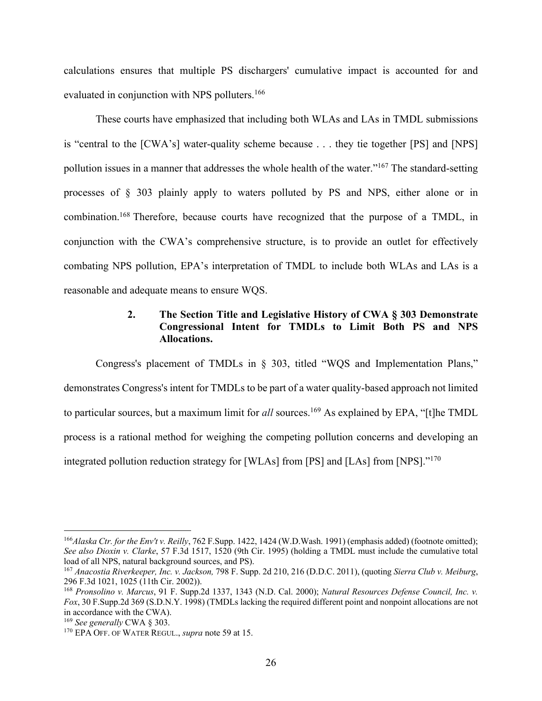calculations ensures that multiple PS dischargers' cumulative impact is accounted for and evaluated in conjunction with NPS polluters.<sup>166</sup>

These courts have emphasized that including both WLAs and LAs in TMDL submissions is "central to the [CWA's] water-quality scheme because . . . they tie together [PS] and [NPS] pollution issues in a manner that addresses the whole health of the water."167 The standard-setting processes of § 303 plainly apply to waters polluted by PS and NPS, either alone or in combination.168 Therefore, because courts have recognized that the purpose of a TMDL, in conjunction with the CWA's comprehensive structure, is to provide an outlet for effectively combating NPS pollution, EPA's interpretation of TMDL to include both WLAs and LAs is a reasonable and adequate means to ensure WQS.

### **2. The Section Title and Legislative History of CWA § 303 Demonstrate Congressional Intent for TMDLs to Limit Both PS and NPS Allocations.**

Congress's placement of TMDLs in § 303, titled "WQS and Implementation Plans," demonstrates Congress's intent for TMDLs to be part of a water quality-based approach not limited to particular sources, but a maximum limit for *all* sources. <sup>169</sup> As explained by EPA, "[t]he TMDL process is a rational method for weighing the competing pollution concerns and developing an integrated pollution reduction strategy for [WLAs] from [PS] and [LAs] from [NPS]."170

<sup>166</sup>*Alaska Ctr. for the Env't v. Reilly*, 762 F.Supp. 1422, 1424 (W.D.Wash. 1991) (emphasis added) (footnote omitted); *See also Dioxin v. Clarke*, 57 F.3d 1517, 1520 (9th Cir. 1995) (holding a TMDL must include the cumulative total load of all NPS, natural background sources, and PS).

<sup>&</sup>lt;sup>167</sup> Anacostia Riverkeeper, Inc. v. Jackson, 798 F. Supp. 2d 210, 216 (D.D.C. 2011), (quoting *Sierra Club v. Meiburg*, 296 F.3d 1021, 1025 (11th Cir. 2002)).

<sup>&</sup>lt;sup>168</sup> Pronsolino v. Marcus, 91 F. Supp.2d 1337, 1343 (N.D. Cal. 2000); *Natural Resources Defense Council, Inc. v. Fox*, 30 F.Supp.2d 369 (S.D.N.Y. 1998) (TMDLs lacking the required different point and nonpoint allocations are not in accordance with the CWA).

<sup>169</sup> *See generally* CWA § 303.

<sup>170</sup> EPA OFF. OF WATER REGUL., *supra* note 59 at 15.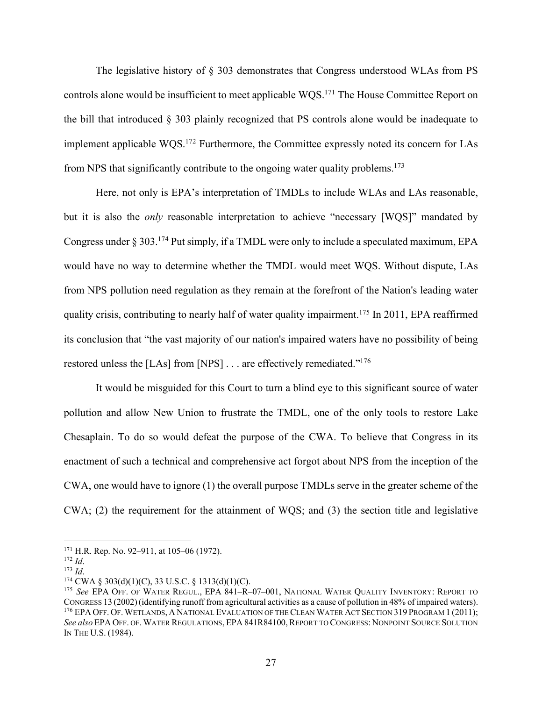The legislative history of § 303 demonstrates that Congress understood WLAs from PS controls alone would be insufficient to meet applicable WQS.<sup>171</sup> The House Committee Report on the bill that introduced § 303 plainly recognized that PS controls alone would be inadequate to implement applicable WQS.172 Furthermore, the Committee expressly noted its concern for LAs from NPS that significantly contribute to the ongoing water quality problems.<sup>173</sup>

Here, not only is EPA's interpretation of TMDLs to include WLAs and LAs reasonable, but it is also the *only* reasonable interpretation to achieve "necessary [WQS]" mandated by Congress under § 303.174 Put simply, if a TMDL were only to include a speculated maximum, EPA would have no way to determine whether the TMDL would meet WQS. Without dispute, LAs from NPS pollution need regulation as they remain at the forefront of the Nation's leading water quality crisis, contributing to nearly half of water quality impairment.<sup>175</sup> In 2011, EPA reaffirmed its conclusion that "the vast majority of our nation's impaired waters have no possibility of being restored unless the [LAs] from [NPS] . . . are effectively remediated."<sup>176</sup>

It would be misguided for this Court to turn a blind eye to this significant source of water pollution and allow New Union to frustrate the TMDL, one of the only tools to restore Lake Chesaplain. To do so would defeat the purpose of the CWA. To believe that Congress in its enactment of such a technical and comprehensive act forgot about NPS from the inception of the CWA, one would have to ignore (1) the overall purpose TMDLs serve in the greater scheme of the CWA; (2) the requirement for the attainment of WQS; and (3) the section title and legislative

 $171$  H.R. Rep. No. 92–911, at 105–06 (1972).

<sup>172</sup> *Id*.

<sup>173</sup> *Id*.

 $174$  CWA § 303(d)(1)(C), 33 U.S.C. § 1313(d)(1)(C).

<sup>175</sup> *See* EPA OFF. OF WATER REGUL., EPA 841–R–07–001, NATIONAL WATER QUALITY INVENTORY: REPORT TO CONGRESS 13 (2002)(identifying runoff from agricultural activities as a cause of pollution in 48% of impaired waters). <sup>176</sup> EPA OFF. OF. WETLANDS, A NATIONAL EVALUATION OF THE CLEAN WATER ACT SECTION 319 PROGRAM 1 (2011); *See also* EPA OFF. OF. WATER REGULATIONS, EPA 841R84100, REPORT TO CONGRESS: NONPOINT SOURCE SOLUTION IN THE U.S. (1984).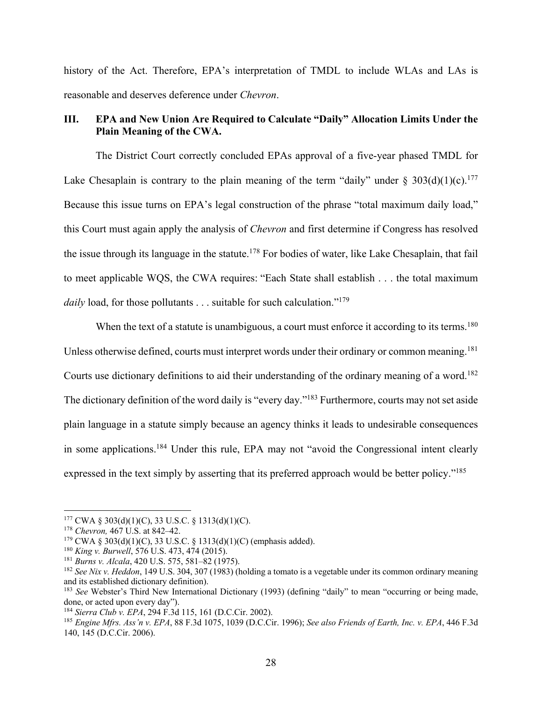history of the Act. Therefore, EPA's interpretation of TMDL to include WLAs and LAs is reasonable and deserves deference under *Chevron*.

### **III. EPA and New Union Are Required to Calculate "Daily" Allocation Limits Under the Plain Meaning of the CWA.**

The District Court correctly concluded EPAs approval of a five-year phased TMDL for Lake Chesaplain is contrary to the plain meaning of the term "daily" under  $\S 303(d)(1)(c)$ .<sup>177</sup> Because this issue turns on EPA's legal construction of the phrase "total maximum daily load," this Court must again apply the analysis of *Chevron* and first determine if Congress has resolved the issue through its language in the statute.178 For bodies of water, like Lake Chesaplain, that fail to meet applicable WQS, the CWA requires: "Each State shall establish . . . the total maximum *daily* load, for those pollutants . . . suitable for such calculation."<sup>179</sup>

When the text of a statute is unambiguous, a court must enforce it according to its terms.<sup>180</sup> Unless otherwise defined, courts must interpret words under their ordinary or common meaning.<sup>181</sup> Courts use dictionary definitions to aid their understanding of the ordinary meaning of a word.<sup>182</sup> The dictionary definition of the word daily is "every day."<sup>183</sup> Furthermore, courts may not set aside plain language in a statute simply because an agency thinks it leads to undesirable consequences in some applications.184 Under this rule, EPA may not "avoid the Congressional intent clearly expressed in the text simply by asserting that its preferred approach would be better policy."<sup>185</sup>

 $177$  CWA § 303(d)(1)(C), 33 U.S.C. § 1313(d)(1)(C).

<sup>178</sup> *Chevron,* 467 U.S. at 842–42.

 $179 \text{ CWA }$ § 303(d)(1)(C), 33 U.S.C. § 1313(d)(1)(C) (emphasis added).

<sup>180</sup> *King v. Burwell*, 576 U.S. 473, 474 (2015).

<sup>181</sup> *Burns v. Alcala*, 420 U.S. 575, 581–82 (1975).

<sup>182</sup> *See Nix v. Heddon*, 149 U.S. 304, 307 (1983) (holding a tomato is a vegetable under its common ordinary meaning and its established dictionary definition).

<sup>&</sup>lt;sup>183</sup> See Webster's Third New International Dictionary (1993) (defining "daily" to mean "occurring or being made, done, or acted upon every day").

<sup>184</sup> *Sierra Club v. EPA*, 294 F.3d 115, 161 (D.C.Cir. 2002).

<sup>185</sup> *Engine Mfrs. Ass'n v. EPA*, 88 F.3d 1075, 1039 (D.C.Cir. 1996); *See also Friends of Earth, Inc. v. EPA*, 446 F.3d 140, 145 (D.C.Cir. 2006).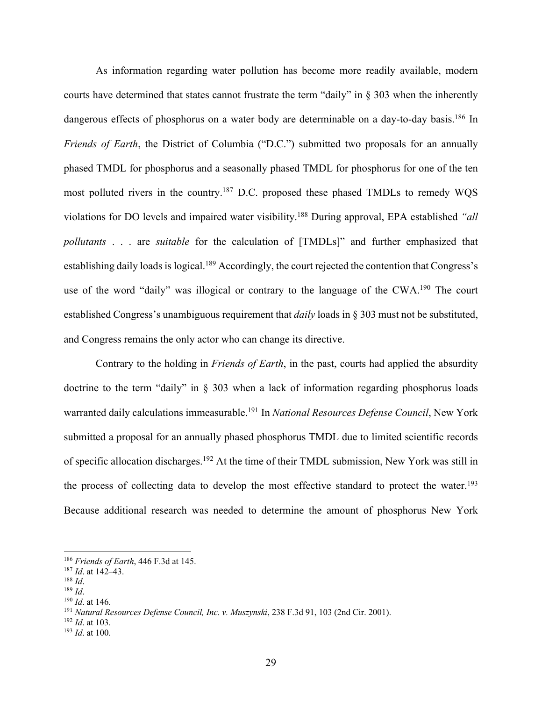As information regarding water pollution has become more readily available, modern courts have determined that states cannot frustrate the term "daily" in § 303 when the inherently dangerous effects of phosphorus on a water body are determinable on a day-to-day basis.<sup>186</sup> In *Friends of Earth*, the District of Columbia ("D.C.") submitted two proposals for an annually phased TMDL for phosphorus and a seasonally phased TMDL for phosphorus for one of the ten most polluted rivers in the country.<sup>187</sup> D.C. proposed these phased TMDLs to remedy WQS violations for DO levels and impaired water visibility.188 During approval, EPA established *"all pollutants* . . . are *suitable* for the calculation of [TMDLs]" and further emphasized that establishing daily loads is logical.<sup>189</sup> Accordingly, the court rejected the contention that Congress's use of the word "daily" was illogical or contrary to the language of the CWA.<sup>190</sup> The court established Congress's unambiguous requirement that *daily* loads in § 303 must not be substituted, and Congress remains the only actor who can change its directive.

Contrary to the holding in *Friends of Earth*, in the past, courts had applied the absurdity doctrine to the term "daily" in § 303 when a lack of information regarding phosphorus loads warranted daily calculations immeasurable.191 In *National Resources Defense Council*, New York submitted a proposal for an annually phased phosphorus TMDL due to limited scientific records of specific allocation discharges.192 At the time of their TMDL submission, New York was still in the process of collecting data to develop the most effective standard to protect the water.<sup>193</sup> Because additional research was needed to determine the amount of phosphorus New York

<sup>186</sup> *Friends of Earth*, 446 F.3d at 145.

<sup>187</sup> *Id*. at 142–43.

<sup>188</sup> *Id*.

<sup>189</sup> *Id*.

<sup>190</sup> *Id*. at 146.

<sup>191</sup> *Natural Resources Defense Council, Inc. v. Muszynski*, 238 F.3d 91, 103 (2nd Cir. 2001).

<sup>192</sup> *Id*. at 103.

<sup>193</sup> *Id*. at 100.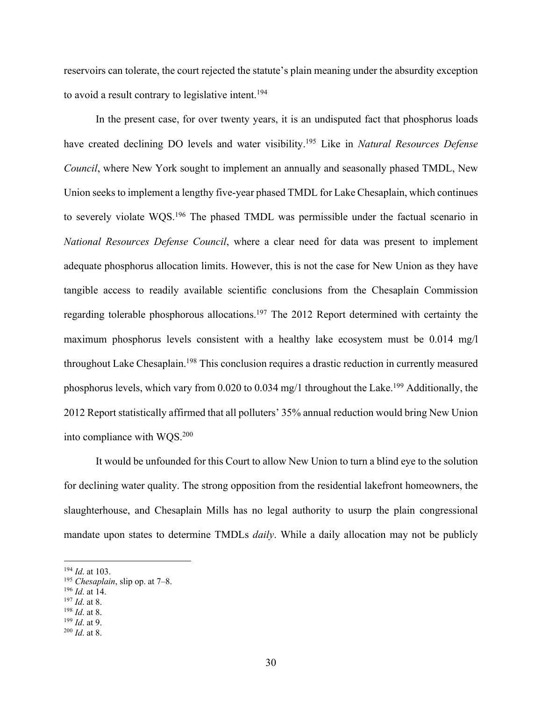reservoirs can tolerate, the court rejected the statute's plain meaning under the absurdity exception to avoid a result contrary to legislative intent.<sup>194</sup>

In the present case, for over twenty years, it is an undisputed fact that phosphorus loads have created declining DO levels and water visibility.195 Like in *Natural Resources Defense Council*, where New York sought to implement an annually and seasonally phased TMDL, New Union seeks to implement a lengthy five-year phased TMDL for Lake Chesaplain, which continues to severely violate WQS.196 The phased TMDL was permissible under the factual scenario in *National Resources Defense Council*, where a clear need for data was present to implement adequate phosphorus allocation limits. However, this is not the case for New Union as they have tangible access to readily available scientific conclusions from the Chesaplain Commission regarding tolerable phosphorous allocations.<sup>197</sup> The 2012 Report determined with certainty the maximum phosphorus levels consistent with a healthy lake ecosystem must be 0.014 mg/l throughout Lake Chesaplain.<sup>198</sup> This conclusion requires a drastic reduction in currently measured phosphorus levels, which vary from 0.020 to 0.034 mg/1 throughout the Lake.199 Additionally, the 2012 Report statistically affirmed that all polluters' 35% annual reduction would bring New Union into compliance with WQS.200

It would be unfounded for this Court to allow New Union to turn a blind eye to the solution for declining water quality. The strong opposition from the residential lakefront homeowners, the slaughterhouse, and Chesaplain Mills has no legal authority to usurp the plain congressional mandate upon states to determine TMDLs *daily*. While a daily allocation may not be publicly

<sup>194</sup> *Id*. at 103.

<sup>195</sup> *Chesaplain*, slip op. at 7–8.

<sup>196</sup> *Id*. at 14.

<sup>197</sup> *Id*. at 8.

<sup>198</sup> *Id*. at 8.

<sup>199</sup> *Id*. at 9.

<sup>200</sup> *Id*. at 8.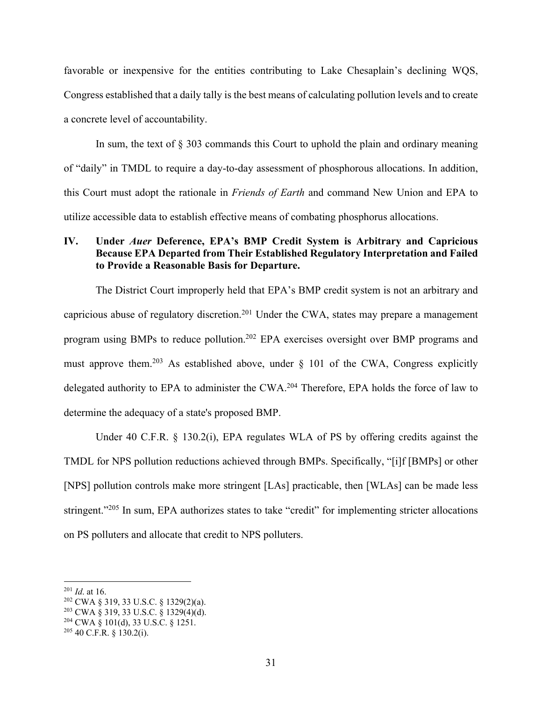favorable or inexpensive for the entities contributing to Lake Chesaplain's declining WQS, Congress established that a daily tally is the best means of calculating pollution levels and to create a concrete level of accountability.

In sum, the text of § 303 commands this Court to uphold the plain and ordinary meaning of "daily" in TMDL to require a day-to-day assessment of phosphorous allocations. In addition, this Court must adopt the rationale in *Friends of Earth* and command New Union and EPA to utilize accessible data to establish effective means of combating phosphorus allocations.

### **IV. Under** *Auer* **Deference, EPA's BMP Credit System is Arbitrary and Capricious Because EPA Departed from Their Established Regulatory Interpretation and Failed to Provide a Reasonable Basis for Departure.**

The District Court improperly held that EPA's BMP credit system is not an arbitrary and capricious abuse of regulatory discretion.<sup>201</sup> Under the CWA, states may prepare a management program using BMPs to reduce pollution.202 EPA exercises oversight over BMP programs and must approve them.<sup>203</sup> As established above, under  $\S$  101 of the CWA, Congress explicitly delegated authority to EPA to administer the CWA.204 Therefore, EPA holds the force of law to determine the adequacy of a state's proposed BMP.

Under 40 C.F.R. § 130.2(i), EPA regulates WLA of PS by offering credits against the TMDL for NPS pollution reductions achieved through BMPs. Specifically, "[i]f [BMPs] or other [NPS] pollution controls make more stringent [LAs] practicable, then [WLAs] can be made less stringent."<sup>205</sup> In sum, EPA authorizes states to take "credit" for implementing stricter allocations on PS polluters and allocate that credit to NPS polluters.

<sup>201</sup> *Id*. at 16.

<sup>202</sup> CWA § 319, 33 U.S.C. § 1329(2)(a).

<sup>203</sup> CWA § 319, 33 U.S.C. § 1329(4)(d).

<sup>204</sup> CWA § 101(d), 33 U.S.C. § 1251.

 $205$  40 C.F.R. § 130.2(i).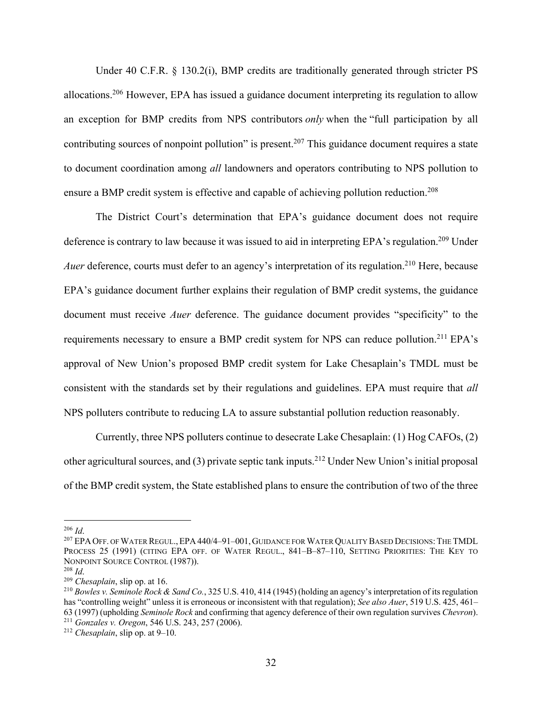Under 40 C.F.R. § 130.2(i), BMP credits are traditionally generated through stricter PS allocations.206 However, EPA has issued a guidance document interpreting its regulation to allow an exception for BMP credits from NPS contributors *only* when the "full participation by all contributing sources of nonpoint pollution" is present.<sup>207</sup> This guidance document requires a state to document coordination among *all* landowners and operators contributing to NPS pollution to ensure a BMP credit system is effective and capable of achieving pollution reduction.<sup>208</sup>

The District Court's determination that EPA's guidance document does not require deference is contrary to law because it was issued to aid in interpreting EPA's regulation.<sup>209</sup> Under *Auer* deference, courts must defer to an agency's interpretation of its regulation.<sup>210</sup> Here, because EPA's guidance document further explains their regulation of BMP credit systems, the guidance document must receive *Auer* deference. The guidance document provides "specificity" to the requirements necessary to ensure a BMP credit system for NPS can reduce pollution.<sup>211</sup> EPA's approval of New Union's proposed BMP credit system for Lake Chesaplain's TMDL must be consistent with the standards set by their regulations and guidelines. EPA must require that *all* NPS polluters contribute to reducing LA to assure substantial pollution reduction reasonably.

Currently, three NPS polluters continue to desecrate Lake Chesaplain: (1) Hog CAFOs, (2) other agricultural sources, and (3) private septic tank inputs.212 Under New Union's initial proposal of the BMP credit system, the State established plans to ensure the contribution of two of the three

<sup>206</sup> *Id*.

<sup>&</sup>lt;sup>207</sup> EPA OFF. OF WATER REGUL., EPA 440/4–91–001, GUIDANCE FOR WATER QUALITY BASED DECISIONS: THE TMDL PROCESS 25 (1991) (CITING EPA OFF. OF WATER REGUL., 841-B-87-110, SETTING PRIORITIES: THE KEY TO NONPOINT SOURCE CONTROL (1987)).

<sup>208</sup> *Id*.

<sup>209</sup> *Chesaplain*, slip op. at 16.

<sup>210</sup> *Bowles v. Seminole Rock & Sand Co.*, 325 U.S. 410, 414 (1945) (holding an agency's interpretation of its regulation has "controlling weight" unless it is erroneous or inconsistent with that regulation); *See also Auer*, 519 U.S. 425, 461– 63 (1997) (upholding *Seminole Rock* and confirming that agency deference of their own regulation survives *Chevron*). <sup>211</sup> *Gonzales v. Oregon*, 546 U.S. 243, 257 (2006).

<sup>212</sup> *Chesaplain*, slip op. at 9–10.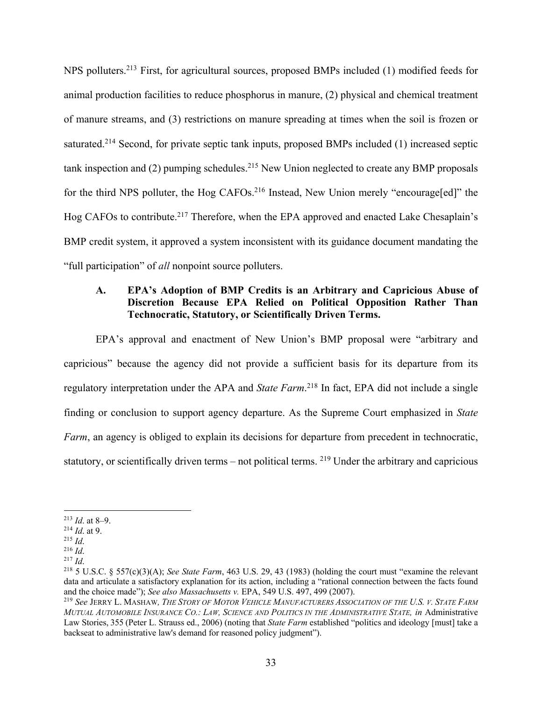NPS polluters.213 First, for agricultural sources, proposed BMPs included (1) modified feeds for animal production facilities to reduce phosphorus in manure, (2) physical and chemical treatment of manure streams, and (3) restrictions on manure spreading at times when the soil is frozen or saturated.<sup>214</sup> Second, for private septic tank inputs, proposed BMPs included (1) increased septic tank inspection and  $(2)$  pumping schedules.<sup>215</sup> New Union neglected to create any BMP proposals for the third NPS polluter, the Hog CAFOs.<sup>216</sup> Instead, New Union merely "encourage[ed]" the Hog CAFOs to contribute.<sup>217</sup> Therefore, when the EPA approved and enacted Lake Chesaplain's BMP credit system, it approved a system inconsistent with its guidance document mandating the "full participation" of *all* nonpoint source polluters.

### **A. EPA's Adoption of BMP Credits is an Arbitrary and Capricious Abuse of Discretion Because EPA Relied on Political Opposition Rather Than Technocratic, Statutory, or Scientifically Driven Terms.**

EPA's approval and enactment of New Union's BMP proposal were "arbitrary and capricious" because the agency did not provide a sufficient basis for its departure from its regulatory interpretation under the APA and *State Farm*. <sup>218</sup> In fact, EPA did not include a single finding or conclusion to support agency departure. As the Supreme Court emphasized in *State Farm*, an agency is obliged to explain its decisions for departure from precedent in technocratic, statutory, or scientifically driven terms – not political terms. 219 Under the arbitrary and capricious

<sup>213</sup> *Id*. at 8–9.

<sup>214</sup> *Id*. at 9.

<sup>215</sup> *Id*.

<sup>216</sup> *Id*.

<sup>217</sup> *Id*.

<sup>218</sup> 5 U.S.C. § 557(c)(3)(A); *See State Farm*, 463 U.S. 29, 43 (1983) (holding the court must "examine the relevant data and articulate a satisfactory explanation for its action, including a "rational connection between the facts found and the choice made"); *See also Massachusetts v.* EPA, 549 U.S. 497, 499 (2007).

<sup>219</sup> *See* JERRY L. MASHAW*, THE STORY OF MOTOR VEHICLE MANUFACTURERS ASSOCIATION OF THE U.S. V. STATE FARM MUTUAL AUTOMOBILE INSURANCE CO.: LAW, SCIENCE AND POLITICS IN THE ADMINISTRATIVE STATE, in* Administrative Law Stories, 355 (Peter L. Strauss ed., 2006) (noting that *State Farm* established "politics and ideology [must] take a backseat to administrative law's demand for reasoned policy judgment").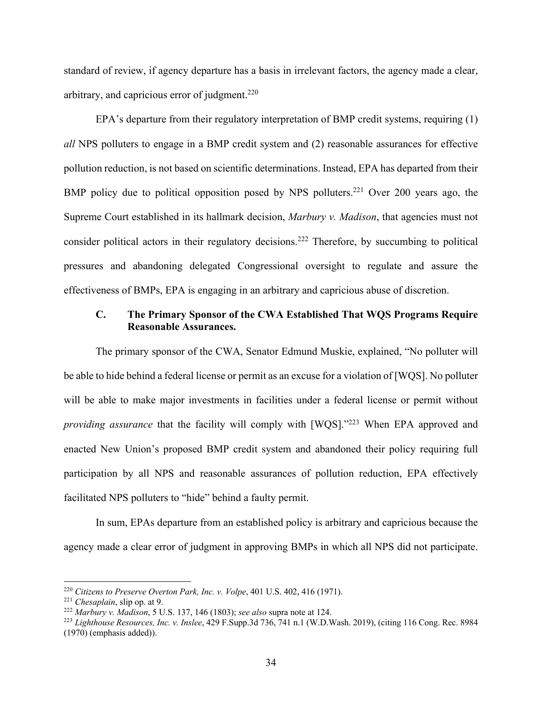standard of review, if agency departure has a basis in irrelevant factors, the agency made a clear, arbitrary, and capricious error of judgment. $220$ 

EPA's departure from their regulatory interpretation of BMP credit systems, requiring (1) *all* NPS polluters to engage in a BMP credit system and (2) reasonable assurances for effective pollution reduction, is not based on scientific determinations. Instead, EPA has departed from their BMP policy due to political opposition posed by NPS polluters.<sup>221</sup> Over 200 years ago, the Supreme Court established in its hallmark decision, *Marbury v. Madison*, that agencies must not consider political actors in their regulatory decisions.222 Therefore, by succumbing to political pressures and abandoning delegated Congressional oversight to regulate and assure the effectiveness of BMPs, EPA is engaging in an arbitrary and capricious abuse of discretion.

### **C. The Primary Sponsor of the CWA Established That WQS Programs Require Reasonable Assurances.**

The primary sponsor of the CWA, Senator Edmund Muskie, explained, "No polluter will be able to hide behind a federal license or permit as an excuse for a violation of [WQS]. No polluter will be able to make major investments in facilities under a federal license or permit without *providing assurance* that the facility will comply with [WQS]."<sup>223</sup> When EPA approved and enacted New Union's proposed BMP credit system and abandoned their policy requiring full participation by all NPS and reasonable assurances of pollution reduction, EPA effectively facilitated NPS polluters to "hide" behind a faulty permit.

In sum, EPAs departure from an established policy is arbitrary and capricious because the agency made a clear error of judgment in approving BMPs in which all NPS did not participate.

<sup>220</sup> *Citizens to Preserve Overton Park, Inc. v. Volpe*, 401 U.S. 402, 416 (1971).

<sup>221</sup> *Chesaplain*, slip op. at 9.

<sup>222</sup> *Marbury v. Madison*, 5 U.S. 137, 146 (1803); *see also* supra note at 124.

<sup>223</sup> *Lighthouse Resources, Inc. v. Inslee*, 429 F.Supp.3d 736, 741 n.1 (W.D.Wash. 2019), (citing 116 Cong. Rec. 8984 (1970) (emphasis added)).